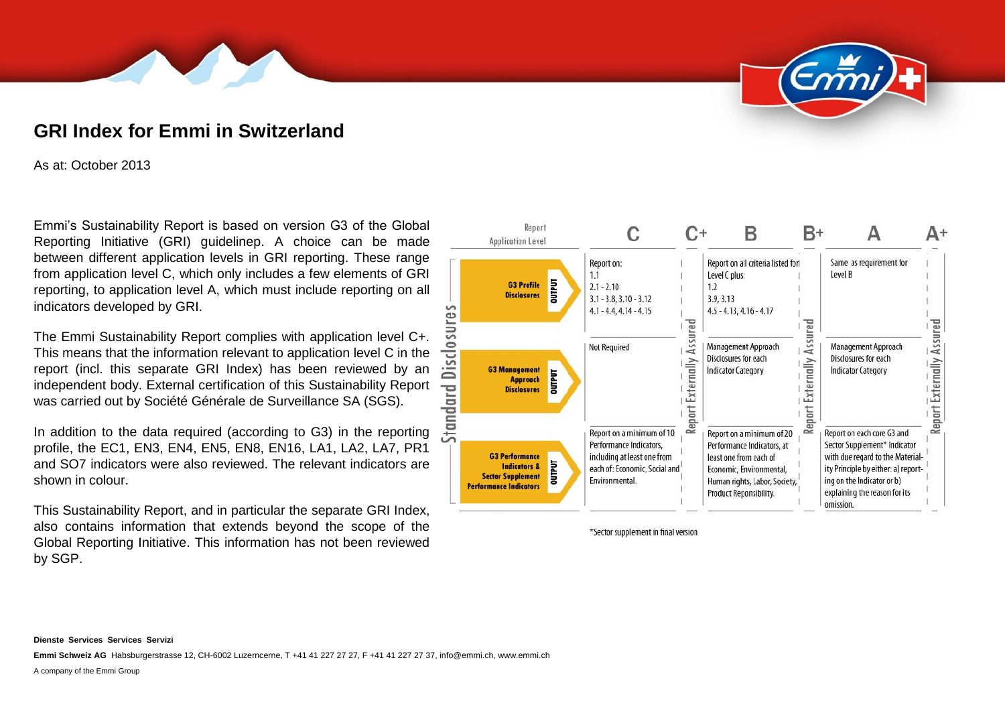# **GRI Index for Emmi in Switzerland**

As at: October 2013

Emmi's Sustainability Report is based on version G3 of the Global Reporting Initiative (GRI) guidelinep. A choice can be made between different application levels in GRI reporting. These range from application level C, which only includes a few elements of GRI reporting, to application level A, which must include reporting on all indicators developed by GRI.

The Emmi Sustainability Report complies with application level C+. This means that the information relevant to application level C in the report (incl. this separate GRI Index) has been reviewed by an independent body. External certification of this Sustainability Report was carried out by Société Générale de Surveillance SA (SGS).

In addition to the data required (according to G3) in the reporting profile, the EC1, EN3, EN4, EN5, EN8, EN16, LA1, LA2, LA7, PR1 and SO7 indicators were also reviewed. The relevant indicators are shown in colour.

This Sustainability Report, and in particular the separate GRI Index, also contains information that extends beyond the scope of the Global Reporting Initiative. This information has not been reviewed by SGP.



\*Sector supplement in final version

**Emmi Schweiz AG** Habsburgerstrasse 12, CH-6002 Luzerncerne, T +41 41 227 27 27, F +41 41 227 27 37, info@emmi.ch, www.emmi.ch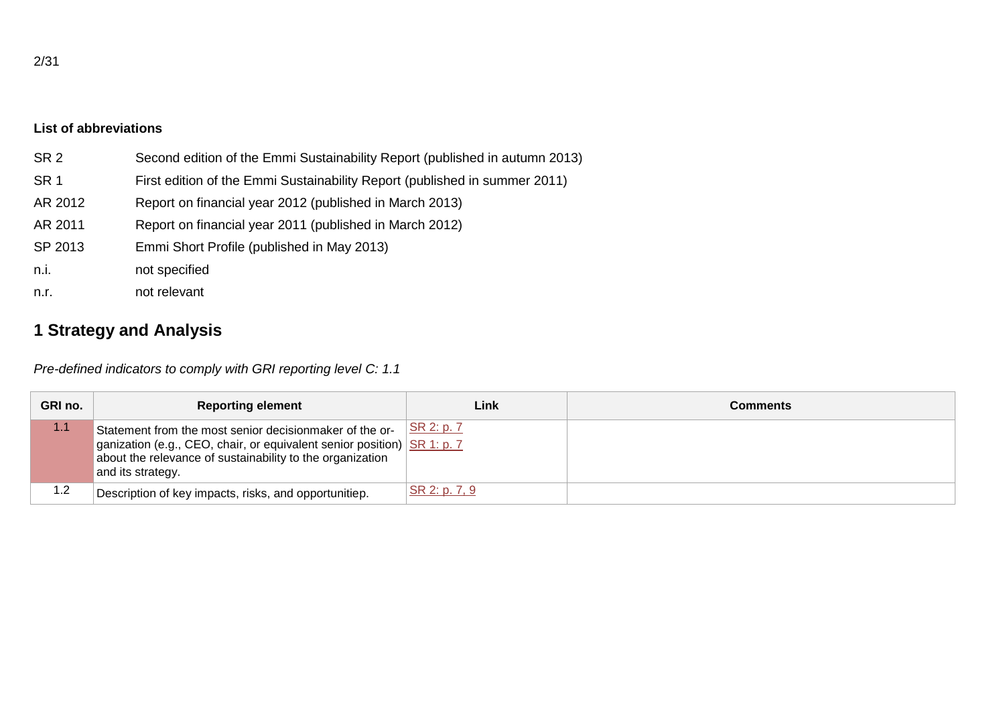#### **List of abbreviations**

| SR <sub>2</sub> | Second edition of the Emmi Sustainability Report (published in autumn 2013) |
|-----------------|-----------------------------------------------------------------------------|
| SR <sub>1</sub> | First edition of the Emmi Sustainability Report (published in summer 2011)  |
| AR 2012         | Report on financial year 2012 (published in March 2013)                     |
| AR 2011         | Report on financial year 2011 (published in March 2012)                     |
| SP 2013         | Emmi Short Profile (published in May 2013)                                  |
| n.i.            | not specified                                                               |
| n.r.            | not relevant                                                                |

# **1 Strategy and Analysis**

*Pre-defined indicators to comply with GRI reporting level C: 1.1*

| GRI no. | <b>Reporting element</b>                                                                                                                                                                                             | Link          | Comments |
|---------|----------------------------------------------------------------------------------------------------------------------------------------------------------------------------------------------------------------------|---------------|----------|
| 1.1     | Statement from the most senior decisionmaker of the or-<br>ganization (e.g., CEO, chair, or equivalent senior position) SR 1: p. 7<br>about the relevance of sustainability to the organization<br>and its strategy. | SR 2: p. 7    |          |
| 1.2     | Description of key impacts, risks, and opportunitiep.                                                                                                                                                                | SR 2: p. 7, 9 |          |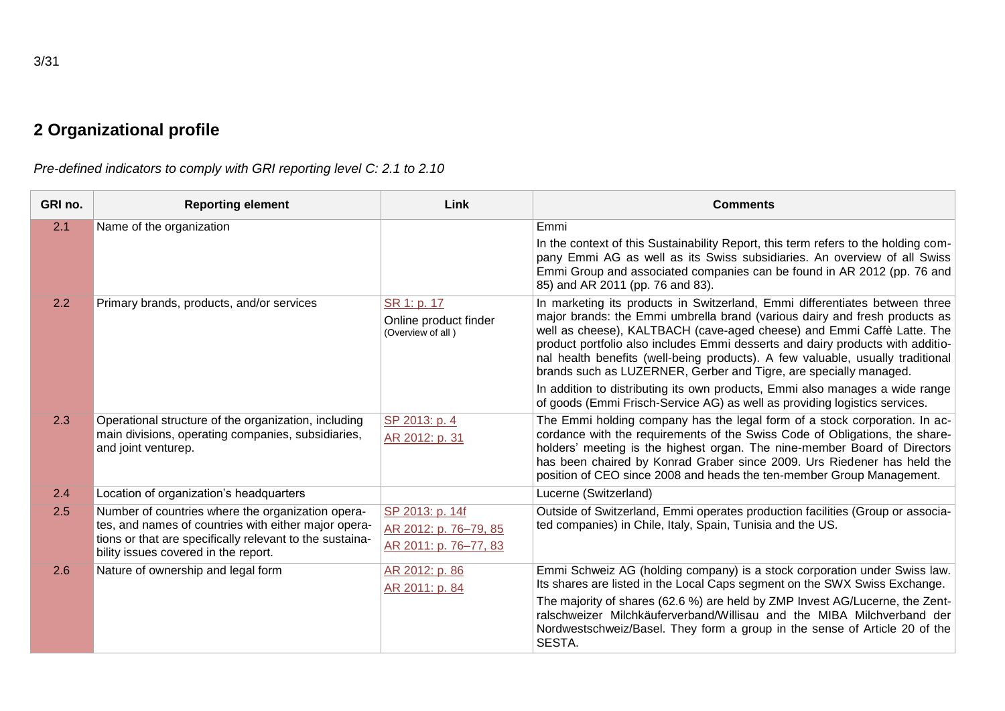*Pre-defined indicators to comply with GRI reporting level C: 2.1 to 2.10*

| GRI no. | <b>Reporting element</b>                                                                                                                                                                                      | Link                                                              | <b>Comments</b>                                                                                                                                                                                                                                                                                                                                                                                                                                                                                                                                                                                                                            |
|---------|---------------------------------------------------------------------------------------------------------------------------------------------------------------------------------------------------------------|-------------------------------------------------------------------|--------------------------------------------------------------------------------------------------------------------------------------------------------------------------------------------------------------------------------------------------------------------------------------------------------------------------------------------------------------------------------------------------------------------------------------------------------------------------------------------------------------------------------------------------------------------------------------------------------------------------------------------|
| 2.1     | Name of the organization                                                                                                                                                                                      |                                                                   | Emmi<br>In the context of this Sustainability Report, this term refers to the holding com-<br>pany Emmi AG as well as its Swiss subsidiaries. An overview of all Swiss<br>Emmi Group and associated companies can be found in AR 2012 (pp. 76 and<br>85) and AR 2011 (pp. 76 and 83).                                                                                                                                                                                                                                                                                                                                                      |
| 2.2     | Primary brands, products, and/or services                                                                                                                                                                     | SR 1: p. 17<br>Online product finder<br>(Overview of all)         | In marketing its products in Switzerland, Emmi differentiates between three<br>major brands: the Emmi umbrella brand (various dairy and fresh products as<br>well as cheese), KALTBACH (cave-aged cheese) and Emmi Caffè Latte. The<br>product portfolio also includes Emmi desserts and dairy products with additio-<br>nal health benefits (well-being products). A few valuable, usually traditional<br>brands such as LUZERNER, Gerber and Tigre, are specially managed.<br>In addition to distributing its own products, Emmi also manages a wide range<br>of goods (Emmi Frisch-Service AG) as well as providing logistics services. |
| 2.3     | Operational structure of the organization, including<br>main divisions, operating companies, subsidiaries,<br>and joint venturep.                                                                             | SP 2013: p. 4<br>AR 2012: p. 31                                   | The Emmi holding company has the legal form of a stock corporation. In ac-<br>cordance with the requirements of the Swiss Code of Obligations, the share-<br>holders' meeting is the highest organ. The nine-member Board of Directors<br>has been chaired by Konrad Graber since 2009. Urs Riedener has held the<br>position of CEO since 2008 and heads the ten-member Group Management.                                                                                                                                                                                                                                                 |
| 2.4     | Location of organization's headquarters                                                                                                                                                                       |                                                                   | Lucerne (Switzerland)                                                                                                                                                                                                                                                                                                                                                                                                                                                                                                                                                                                                                      |
| 2.5     | Number of countries where the organization opera-<br>tes, and names of countries with either major opera-<br>tions or that are specifically relevant to the sustaina-<br>bility issues covered in the report. | SP 2013: p. 14f<br>AR 2012: p. 76-79, 85<br>AR 2011: p. 76-77, 83 | Outside of Switzerland, Emmi operates production facilities (Group or associa-<br>ted companies) in Chile, Italy, Spain, Tunisia and the US.                                                                                                                                                                                                                                                                                                                                                                                                                                                                                               |
| 2.6     | Nature of ownership and legal form                                                                                                                                                                            | AR 2012: p. 86<br>AR 2011: p. 84                                  | Emmi Schweiz AG (holding company) is a stock corporation under Swiss law.<br>Its shares are listed in the Local Caps segment on the SWX Swiss Exchange.<br>The majority of shares (62.6 %) are held by ZMP Invest AG/Lucerne, the Zent-<br>ralschweizer Milchkäuferverband/Willisau and the MIBA Milchverband der<br>Nordwestschweiz/Basel. They form a group in the sense of Article 20 of the<br>SESTA.                                                                                                                                                                                                                                  |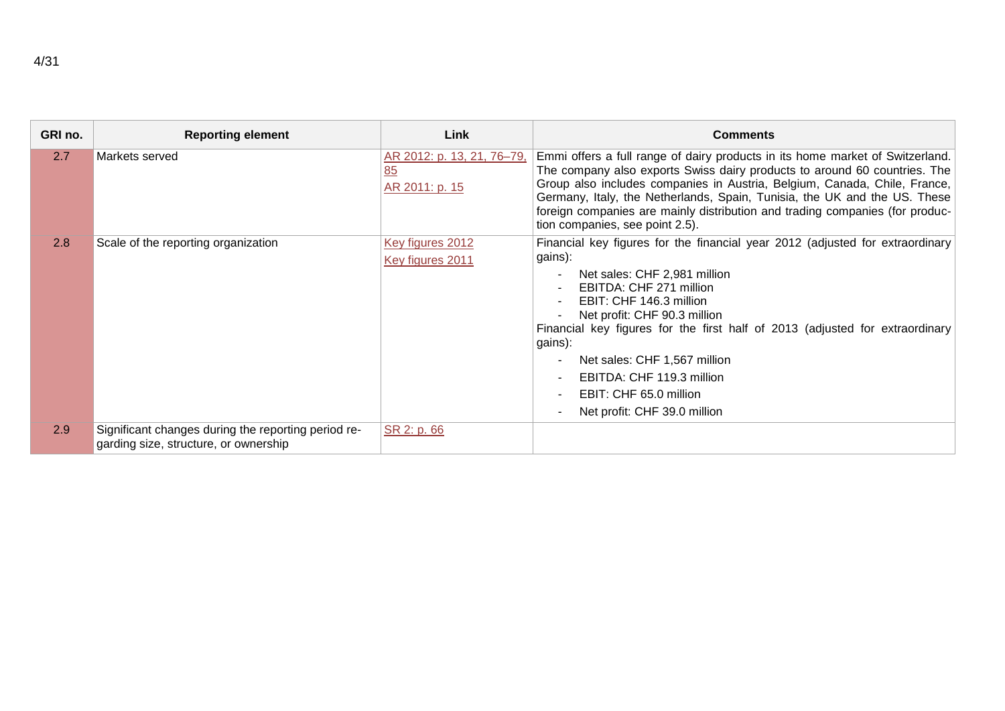| GRI no. | <b>Reporting element</b>                                                                     | Link                                               | <b>Comments</b>                                                                                                                                                                                                                                                                                                                                                                                                                                                                          |
|---------|----------------------------------------------------------------------------------------------|----------------------------------------------------|------------------------------------------------------------------------------------------------------------------------------------------------------------------------------------------------------------------------------------------------------------------------------------------------------------------------------------------------------------------------------------------------------------------------------------------------------------------------------------------|
| 2.7     | Markets served                                                                               | AR 2012: p. 13, 21, 76-79,<br>85<br>AR 2011: p. 15 | Emmi offers a full range of dairy products in its home market of Switzerland.<br>The company also exports Swiss dairy products to around 60 countries. The<br>Group also includes companies in Austria, Belgium, Canada, Chile, France,<br>Germany, Italy, the Netherlands, Spain, Tunisia, the UK and the US. These<br>foreign companies are mainly distribution and trading companies (for produc-<br>tion companies, see point 2.5).                                                  |
| 2.8     | Scale of the reporting organization                                                          | Key figures 2012<br>Key figures 2011               | Financial key figures for the financial year 2012 (adjusted for extraordinary<br>gains):<br>Net sales: CHF 2,981 million<br>$\overline{\phantom{a}}$<br>EBITDA: CHF 271 million<br>EBIT: CHF 146.3 million<br>Net profit: CHF 90.3 million<br>Financial key figures for the first half of 2013 (adjusted for extraordinary<br>gains):<br>Net sales: CHF 1,567 million<br>EBITDA: CHF 119.3 million<br>EBIT: CHF 65.0 million<br>$\overline{\phantom{a}}$<br>Net profit: CHF 39.0 million |
| 2.9     | Significant changes during the reporting period re-<br>garding size, structure, or ownership | SR 2: p. 66                                        |                                                                                                                                                                                                                                                                                                                                                                                                                                                                                          |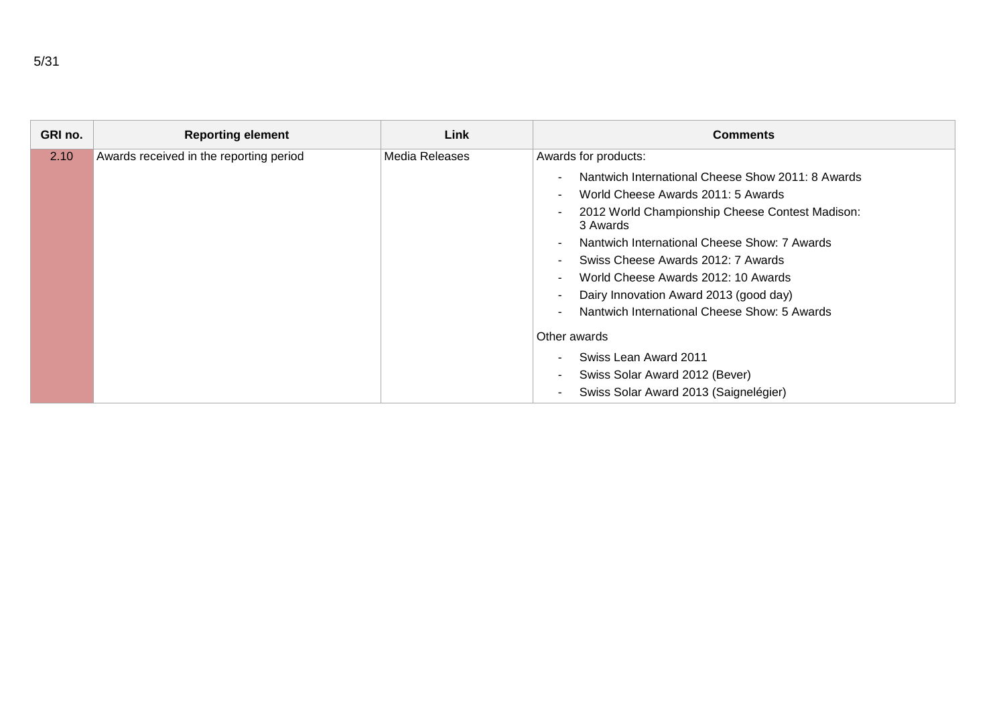| GRI no. | <b>Reporting element</b>                | Link           | <b>Comments</b>                                                                                                                                                                                                                                                                                                            |
|---------|-----------------------------------------|----------------|----------------------------------------------------------------------------------------------------------------------------------------------------------------------------------------------------------------------------------------------------------------------------------------------------------------------------|
| 2.10    | Awards received in the reporting period | Media Releases | Awards for products:<br>Nantwich International Cheese Show 2011: 8 Awards<br>World Cheese Awards 2011: 5 Awards<br>-<br>2012 World Championship Cheese Contest Madison:<br>3 Awards<br>Nantwich International Cheese Show: 7 Awards<br>Swiss Cheese Awards 2012: 7 Awards<br>World Cheese Awards 2012: 10 Awards<br>$\sim$ |
|         |                                         |                | Dairy Innovation Award 2013 (good day)<br>Nantwich International Cheese Show: 5 Awards<br>Other awards<br>Swiss Lean Award 2011<br>Swiss Solar Award 2012 (Bever)<br>٠<br>Swiss Solar Award 2013 (Saignelégier)                                                                                                            |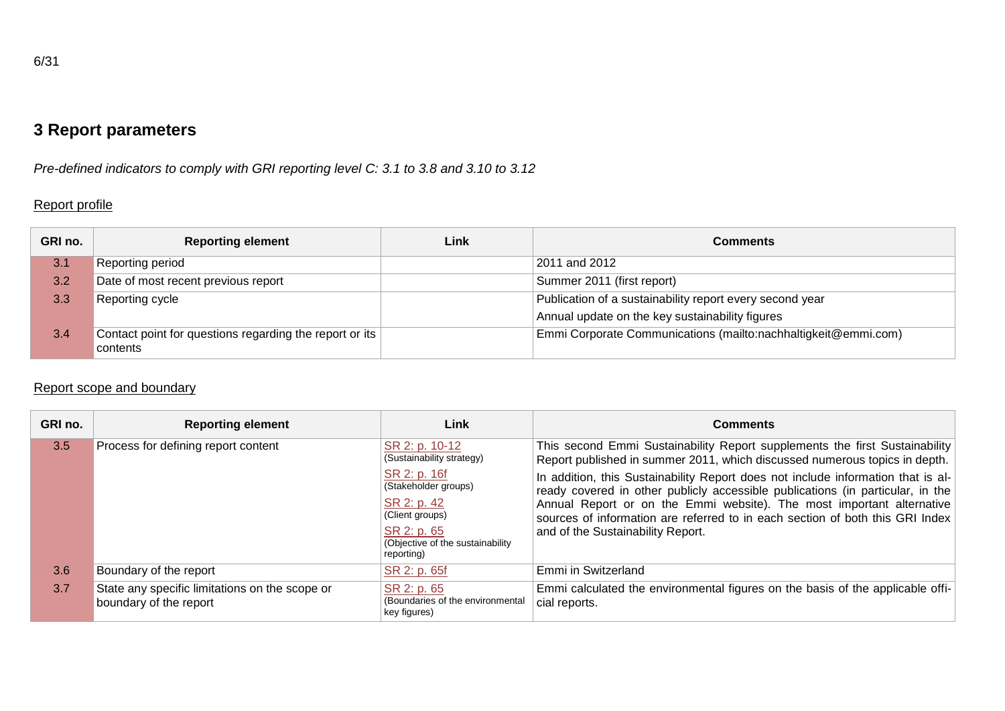*Pre-defined indicators to comply with GRI reporting level C: 3.1 to 3.8 and 3.10 to 3.12*

## Report profile

| GRI no. | <b>Reporting element</b>                                            | Link | Comments                                                       |
|---------|---------------------------------------------------------------------|------|----------------------------------------------------------------|
| 3.1     | Reporting period                                                    |      | 2011 and 2012                                                  |
| 3.2     | Date of most recent previous report                                 |      | Summer 2011 (first report)                                     |
| 3.3     | Reporting cycle                                                     |      | Publication of a sustainability report every second year       |
|         |                                                                     |      | Annual update on the key sustainability figures                |
| 3.4     | Contact point for questions regarding the report or its<br>contents |      | Emmi Corporate Communications (mailto:nachhaltigkeit@emmi.com) |

## Report scope and boundary

| GRI no.                   | <b>Reporting element</b>                                                 | Link                                                            | <b>Comments</b>                                                                                                                                                    |
|---------------------------|--------------------------------------------------------------------------|-----------------------------------------------------------------|--------------------------------------------------------------------------------------------------------------------------------------------------------------------|
| 3.5                       | Process for defining report content                                      | SR 2: p. 10-12<br>(Sustainability strategy)                     | This second Emmi Sustainability Report supplements the first Sustainability<br>Report published in summer 2011, which discussed numerous topics in depth.          |
|                           |                                                                          | SR 2: p. 16f<br>(Stakeholder groups)                            | In addition, this Sustainability Report does not include information that is al-<br>ready covered in other publicly accessible publications (in particular, in the |
|                           |                                                                          | SR 2: p. 42<br>(Client groups)                                  | Annual Report or on the Emmi website). The most important alternative<br>sources of information are referred to in each section of both this GRI Index             |
| SR 2: p. 65<br>reporting) | (Objective of the sustainability                                         | and of the Sustainability Report.                               |                                                                                                                                                                    |
| 3.6                       | Boundary of the report                                                   | SR 2: p. 65f                                                    | Emmi in Switzerland                                                                                                                                                |
| 3.7                       | State any specific limitations on the scope or<br>boundary of the report | SR 2: p. 65<br>(Boundaries of the environmental<br>key figures) | Emmi calculated the environmental figures on the basis of the applicable offi-<br>cial reports.                                                                    |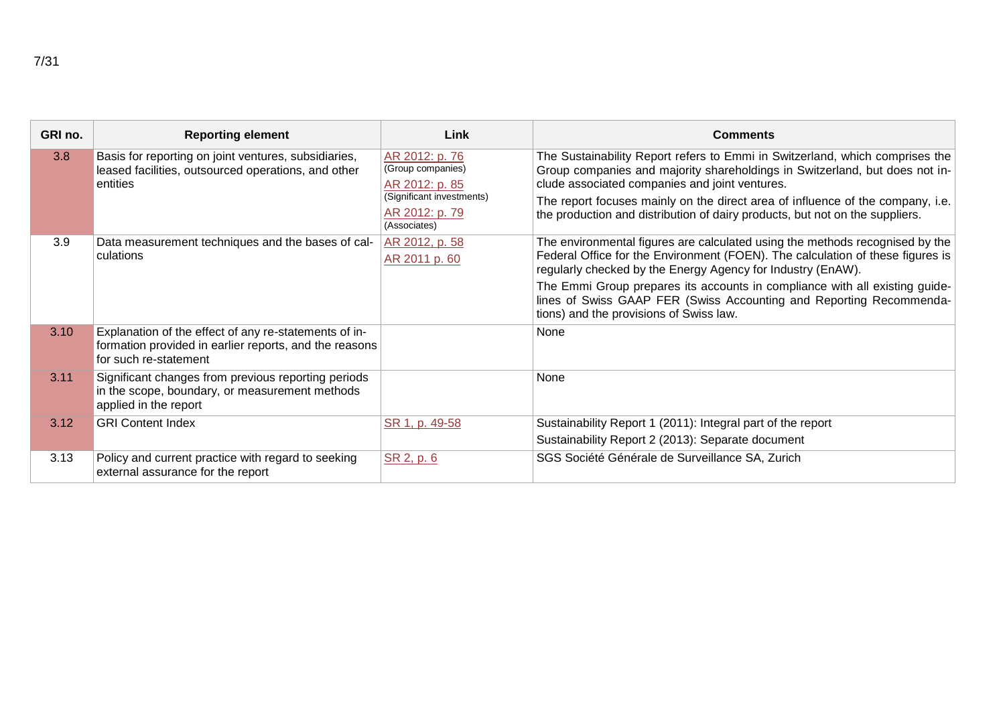| GRI no. | <b>Reporting element</b>                                                                                                                 | Link                                                                                                                 | <b>Comments</b>                                                                                                                                                                                                                                                                                                                                                                 |
|---------|------------------------------------------------------------------------------------------------------------------------------------------|----------------------------------------------------------------------------------------------------------------------|---------------------------------------------------------------------------------------------------------------------------------------------------------------------------------------------------------------------------------------------------------------------------------------------------------------------------------------------------------------------------------|
| 3.8     | Basis for reporting on joint ventures, subsidiaries,<br>leased facilities, outsourced operations, and other<br>entities                  | AR 2012: p. 76<br>(Group companies)<br>AR 2012: p. 85<br>(Significant investments)<br>AR 2012: p. 79<br>(Associates) | The Sustainability Report refers to Emmi in Switzerland, which comprises the<br>Group companies and majority shareholdings in Switzerland, but does not in-<br>clude associated companies and joint ventures.<br>The report focuses mainly on the direct area of influence of the company, i.e.<br>the production and distribution of dairy products, but not on the suppliers. |
| 3.9     | Data measurement techniques and the bases of cal-<br>culations                                                                           | AR 2012, p. 58<br>AR 2011 p. 60                                                                                      | The environmental figures are calculated using the methods recognised by the<br>Federal Office for the Environment (FOEN). The calculation of these figures is<br>regularly checked by the Energy Agency for Industry (EnAW).                                                                                                                                                   |
|         |                                                                                                                                          |                                                                                                                      | The Emmi Group prepares its accounts in compliance with all existing guide-<br>lines of Swiss GAAP FER (Swiss Accounting and Reporting Recommenda-<br>tions) and the provisions of Swiss law.                                                                                                                                                                                   |
| 3.10    | Explanation of the effect of any re-statements of in-<br>formation provided in earlier reports, and the reasons<br>for such re-statement |                                                                                                                      | None                                                                                                                                                                                                                                                                                                                                                                            |
| 3.11    | Significant changes from previous reporting periods<br>in the scope, boundary, or measurement methods<br>applied in the report           |                                                                                                                      | None                                                                                                                                                                                                                                                                                                                                                                            |
| 3.12    | <b>GRI Content Index</b>                                                                                                                 | SR 1, p. 49-58                                                                                                       | Sustainability Report 1 (2011): Integral part of the report<br>Sustainability Report 2 (2013): Separate document                                                                                                                                                                                                                                                                |
| 3.13    | Policy and current practice with regard to seeking<br>external assurance for the report                                                  | SR 2, p. 6                                                                                                           | SGS Société Générale de Surveillance SA, Zurich                                                                                                                                                                                                                                                                                                                                 |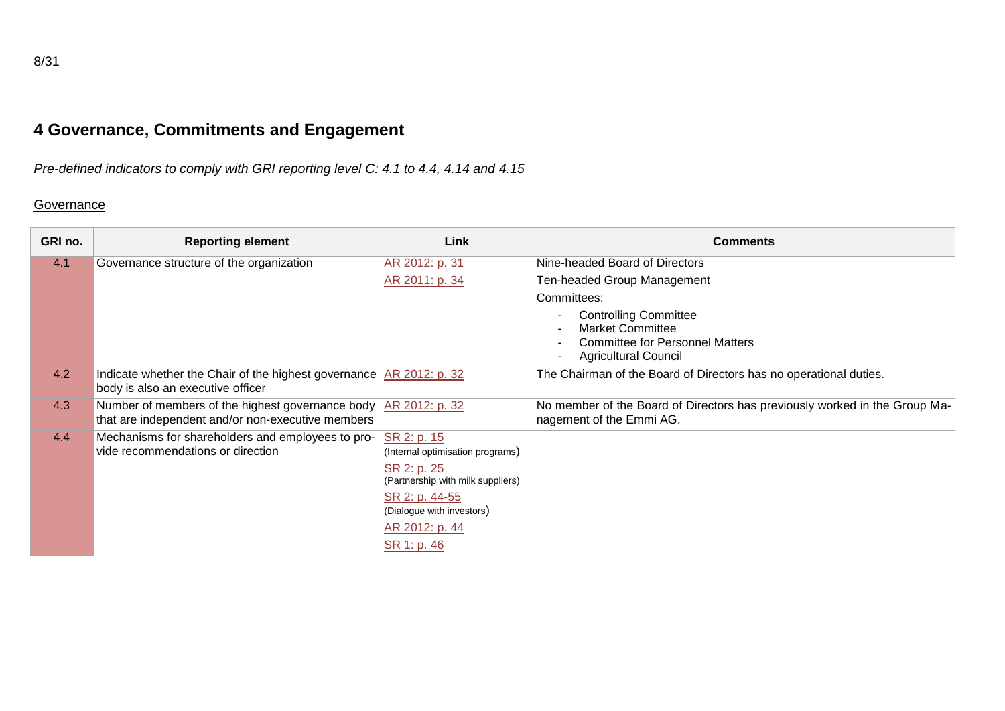# **4 Governance, Commitments and Engagement**

*Pre-defined indicators to comply with GRI reporting level C: 4.1 to 4.4, 4.14 and 4.15*

#### **Governance**

| GRI no. | <b>Reporting element</b>                                                                                   | Link                                                                                                | <b>Comments</b>                                                                                                                  |
|---------|------------------------------------------------------------------------------------------------------------|-----------------------------------------------------------------------------------------------------|----------------------------------------------------------------------------------------------------------------------------------|
| 4.1     | Governance structure of the organization                                                                   | AR 2012: p. 31                                                                                      | Nine-headed Board of Directors                                                                                                   |
|         |                                                                                                            | AR 2011: p. 34                                                                                      | Ten-headed Group Management                                                                                                      |
|         |                                                                                                            |                                                                                                     | Committees:                                                                                                                      |
|         |                                                                                                            |                                                                                                     | <b>Controlling Committee</b><br><b>Market Committee</b><br><b>Committee for Personnel Matters</b><br><b>Agricultural Council</b> |
| 4.2     | Indicate whether the Chair of the highest governance $AR$ 2012: p. 32<br>body is also an executive officer |                                                                                                     | The Chairman of the Board of Directors has no operational duties.                                                                |
| 4.3     | Number of members of the highest governance body<br>that are independent and/or non-executive members      | AR 2012: p. 32                                                                                      | No member of the Board of Directors has previously worked in the Group Ma-<br>nagement of the Emmi AG.                           |
| 4.4     | Mechanisms for shareholders and employees to pro-<br>vide recommendations or direction                     | SR 2: p. 15<br>(Internal optimisation programs)<br>SR 2: p. 25<br>(Partnership with milk suppliers) |                                                                                                                                  |
|         |                                                                                                            | SR 2: p. 44-55<br>(Dialogue with investors)<br>AR 2012: p. 44<br>SR 1: p. 46                        |                                                                                                                                  |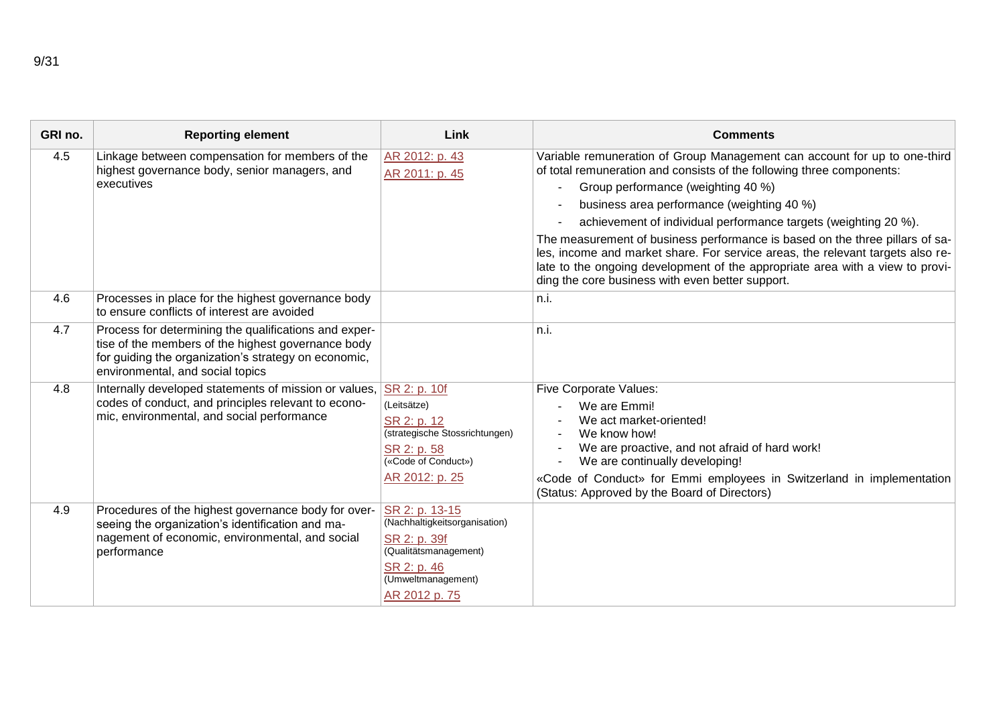| GRI no. | <b>Reporting element</b>                                                                                                                                                                                | Link                                                                                                                                           | <b>Comments</b>                                                                                                                                                                                                                                                                                                                                                                                                                                                                                                                                                                                                  |
|---------|---------------------------------------------------------------------------------------------------------------------------------------------------------------------------------------------------------|------------------------------------------------------------------------------------------------------------------------------------------------|------------------------------------------------------------------------------------------------------------------------------------------------------------------------------------------------------------------------------------------------------------------------------------------------------------------------------------------------------------------------------------------------------------------------------------------------------------------------------------------------------------------------------------------------------------------------------------------------------------------|
| 4.5     | Linkage between compensation for members of the<br>highest governance body, senior managers, and<br>executives                                                                                          | AR 2012: p. 43<br>AR 2011: p. 45                                                                                                               | Variable remuneration of Group Management can account for up to one-third<br>of total remuneration and consists of the following three components:<br>Group performance (weighting 40 %)<br>business area performance (weighting 40 %)<br>achievement of individual performance targets (weighting 20 %).<br>The measurement of business performance is based on the three pillars of sa-<br>les, income and market share. For service areas, the relevant targets also re-<br>late to the ongoing development of the appropriate area with a view to provi-<br>ding the core business with even better support. |
| 4.6     | Processes in place for the highest governance body<br>to ensure conflicts of interest are avoided                                                                                                       |                                                                                                                                                | n.i.                                                                                                                                                                                                                                                                                                                                                                                                                                                                                                                                                                                                             |
| 4.7     | Process for determining the qualifications and exper-<br>tise of the members of the highest governance body<br>for guiding the organization's strategy on economic,<br>environmental, and social topics |                                                                                                                                                | n.i.                                                                                                                                                                                                                                                                                                                                                                                                                                                                                                                                                                                                             |
| 4.8     | Internally developed statements of mission or values,<br>codes of conduct, and principles relevant to econo-<br>mic, environmental, and social performance                                              | SR 2: p. 10f<br>(Leitsätze)<br>SR 2: p. 12<br>(strategische Stossrichtungen)<br>SR 2: p. 58<br>(«Code of Conduct»)<br>AR 2012: p. 25           | <b>Five Corporate Values:</b><br>We are Emmi!<br>We act market-oriented!<br>We know how!<br>We are proactive, and not afraid of hard work!<br>We are continually developing!<br>«Code of Conduct» for Emmi employees in Switzerland in implementation<br>(Status: Approved by the Board of Directors)                                                                                                                                                                                                                                                                                                            |
| 4.9     | Procedures of the highest governance body for over-<br>seeing the organization's identification and ma-<br>nagement of economic, environmental, and social<br>performance                               | SR 2: p. 13-15<br>(Nachhaltigkeitsorganisation)<br>SR 2: p. 39f<br>(Qualitätsmanagement)<br>SR 2: p. 46<br>(Umweltmanagement)<br>AR 2012 p. 75 |                                                                                                                                                                                                                                                                                                                                                                                                                                                                                                                                                                                                                  |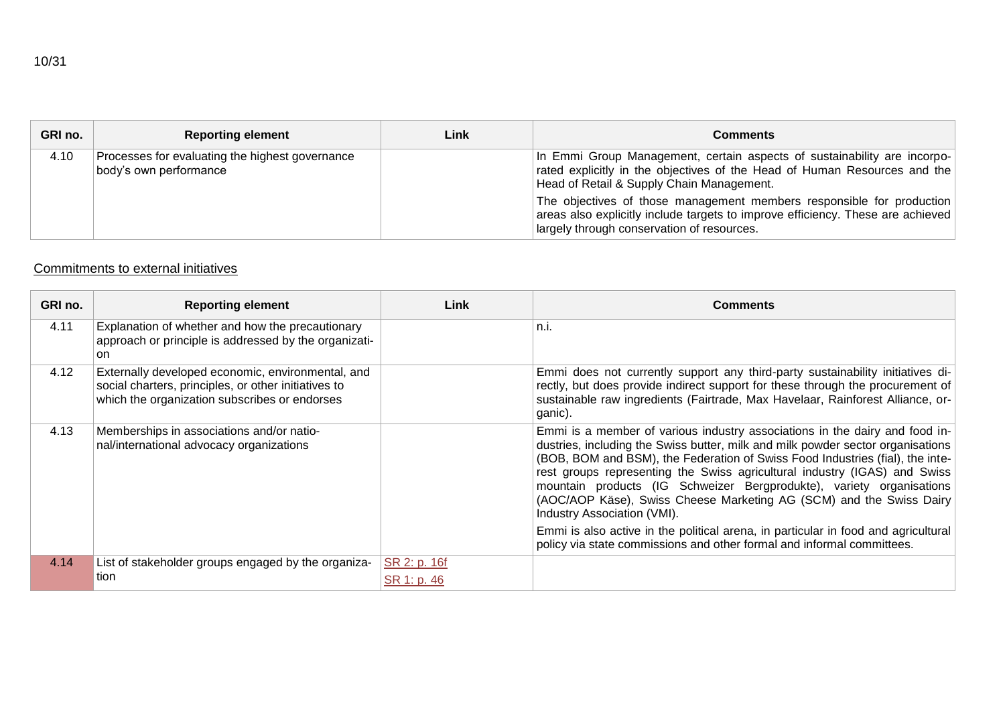| GRI no. | <b>Reporting element</b>                                                  | Link | <b>Comments</b>                                                                                                                                                                                                                                                                                                                                                                                              |
|---------|---------------------------------------------------------------------------|------|--------------------------------------------------------------------------------------------------------------------------------------------------------------------------------------------------------------------------------------------------------------------------------------------------------------------------------------------------------------------------------------------------------------|
| 4.10    | Processes for evaluating the highest governance<br>body's own performance |      | In Emmi Group Management, certain aspects of sustainability are incorpo-<br>rated explicitly in the objectives of the Head of Human Resources and the<br>Head of Retail & Supply Chain Management.<br>The objectives of those management members responsible for production<br>areas also explicitly include targets to improve efficiency. These are achieved<br>largely through conservation of resources. |

#### Commitments to external initiatives

| GRI no. | <b>Reporting element</b>                                                                                                                                   | Link                        | <b>Comments</b>                                                                                                                                                                                                                                                                                                                                                                                                                                                                                            |
|---------|------------------------------------------------------------------------------------------------------------------------------------------------------------|-----------------------------|------------------------------------------------------------------------------------------------------------------------------------------------------------------------------------------------------------------------------------------------------------------------------------------------------------------------------------------------------------------------------------------------------------------------------------------------------------------------------------------------------------|
| 4.11    | Explanation of whether and how the precautionary<br>approach or principle is addressed by the organizati-<br>on.                                           |                             | n.i.                                                                                                                                                                                                                                                                                                                                                                                                                                                                                                       |
| 4.12    | Externally developed economic, environmental, and<br>social charters, principles, or other initiatives to<br>which the organization subscribes or endorses |                             | Emmi does not currently support any third-party sustainability initiatives di-<br>rectly, but does provide indirect support for these through the procurement of<br>sustainable raw ingredients (Fairtrade, Max Havelaar, Rainforest Alliance, or-<br>ganic).                                                                                                                                                                                                                                              |
| 4.13    | Memberships in associations and/or natio-<br>nal/international advocacy organizations                                                                      |                             | Emmi is a member of various industry associations in the dairy and food in-<br>dustries, including the Swiss butter, milk and milk powder sector organisations<br>(BOB, BOM and BSM), the Federation of Swiss Food Industries (fial), the inte-<br>rest groups representing the Swiss agricultural industry (IGAS) and Swiss<br>mountain products (IG Schweizer Bergprodukte), variety organisations<br>(AOC/AOP Käse), Swiss Cheese Marketing AG (SCM) and the Swiss Dairy<br>Industry Association (VMI). |
|         |                                                                                                                                                            |                             | Emmi is also active in the political arena, in particular in food and agricultural<br>policy via state commissions and other formal and informal committees.                                                                                                                                                                                                                                                                                                                                               |
| 4.14    | List of stakeholder groups engaged by the organiza-<br>tion                                                                                                | SR 2: p. 16f<br>SR 1: p. 46 |                                                                                                                                                                                                                                                                                                                                                                                                                                                                                                            |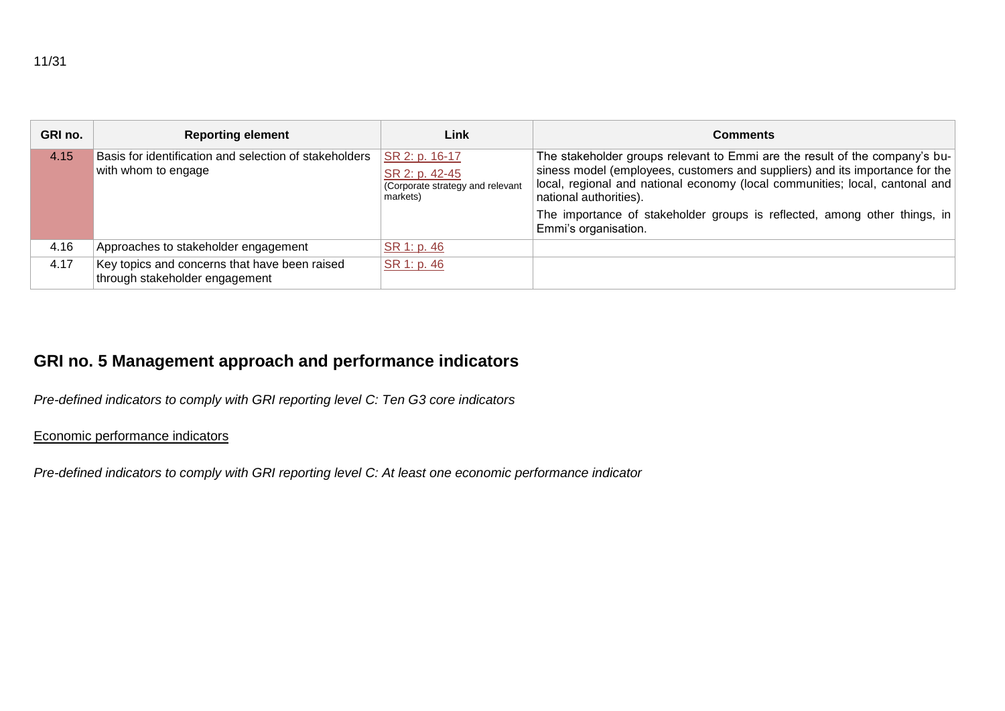| GRI no. | <b>Reporting element</b>                                                        | Link                                                                             | <b>Comments</b>                                                                                                                                                                                                                                                                                                                                                            |
|---------|---------------------------------------------------------------------------------|----------------------------------------------------------------------------------|----------------------------------------------------------------------------------------------------------------------------------------------------------------------------------------------------------------------------------------------------------------------------------------------------------------------------------------------------------------------------|
| 4.15    | Basis for identification and selection of stakeholders<br>with whom to engage   | SR 2: p. 16-17<br>SR 2: p. 42-45<br>(Corporate strategy and relevant<br>markets) | The stakeholder groups relevant to Emmi are the result of the company's bu-<br>siness model (employees, customers and suppliers) and its importance for the<br>local, regional and national economy (local communities; local, cantonal and<br>national authorities).<br>The importance of stakeholder groups is reflected, among other things, in<br>Emmi's organisation. |
| 4.16    | Approaches to stakeholder engagement                                            | SR 1: p. 46                                                                      |                                                                                                                                                                                                                                                                                                                                                                            |
| 4.17    | Key topics and concerns that have been raised<br>through stakeholder engagement | SR 1: p. 46                                                                      |                                                                                                                                                                                                                                                                                                                                                                            |

# **GRI no. 5 Management approach and performance indicators**

*Pre-defined indicators to comply with GRI reporting level C: Ten G3 core indicators*

#### Economic performance indicators

*Pre-defined indicators to comply with GRI reporting level C: At least one economic performance indicator*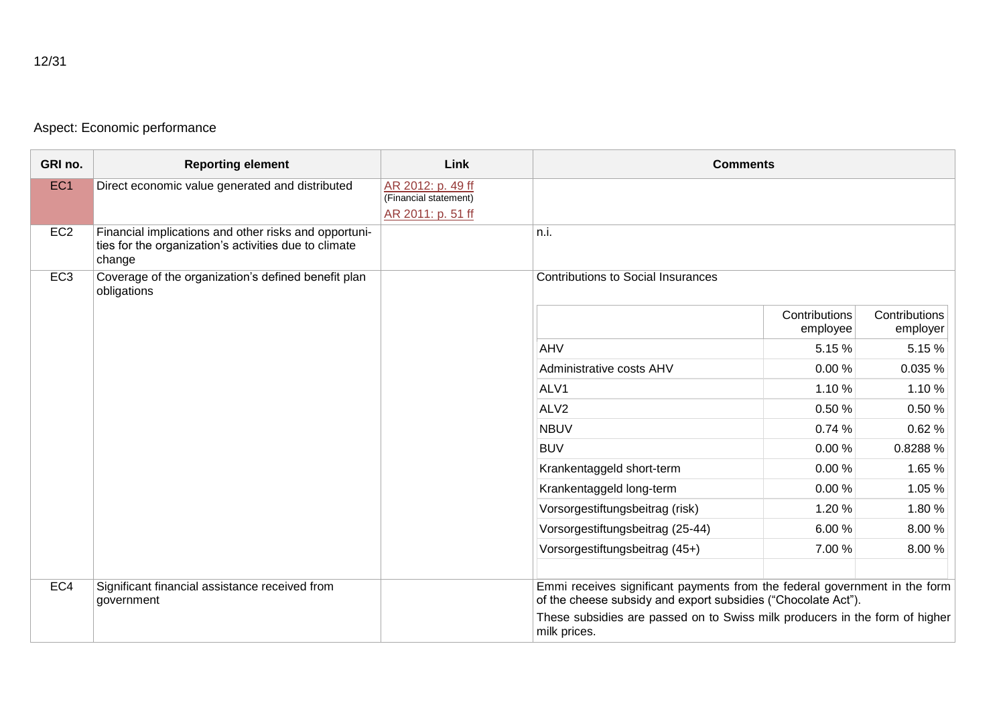## Aspect: Economic performance

| GRI no.         | <b>Reporting element</b>                                                                                                 | Link                                       | <b>Comments</b>                                                                                                                             |                           |
|-----------------|--------------------------------------------------------------------------------------------------------------------------|--------------------------------------------|---------------------------------------------------------------------------------------------------------------------------------------------|---------------------------|
| EC <sub>1</sub> | Direct economic value generated and distributed                                                                          | AR 2012: p. 49 ff<br>(Financial statement) |                                                                                                                                             |                           |
|                 |                                                                                                                          | AR 2011: p. 51 ff                          |                                                                                                                                             |                           |
| EC <sub>2</sub> | Financial implications and other risks and opportuni-<br>ties for the organization's activities due to climate<br>change |                                            | n.i.                                                                                                                                        |                           |
| EC <sub>3</sub> | Coverage of the organization's defined benefit plan<br>obligations                                                       |                                            | <b>Contributions to Social Insurances</b>                                                                                                   |                           |
|                 |                                                                                                                          |                                            | Contributions<br>employee                                                                                                                   | Contributions<br>employer |
|                 |                                                                                                                          |                                            | AHV<br>5.15 %                                                                                                                               | 5.15%                     |
|                 |                                                                                                                          |                                            | Administrative costs AHV<br>0.00%                                                                                                           | 0.035%                    |
|                 |                                                                                                                          |                                            | ALV1<br>1.10 %                                                                                                                              | 1.10 %                    |
|                 |                                                                                                                          |                                            | ALV <sub>2</sub><br>0.50 %                                                                                                                  | 0.50%                     |
|                 |                                                                                                                          |                                            | <b>NBUV</b><br>0.74%                                                                                                                        | 0.62%                     |
|                 |                                                                                                                          |                                            | <b>BUV</b><br>0.00%                                                                                                                         | 0.8288 %                  |
|                 |                                                                                                                          |                                            | Krankentaggeld short-term<br>0.00%                                                                                                          | 1.65 %                    |
|                 |                                                                                                                          |                                            | Krankentaggeld long-term<br>0.00%                                                                                                           | 1.05 %                    |
|                 |                                                                                                                          |                                            | Vorsorgestiftungsbeitrag (risk)<br>1.20%                                                                                                    | 1.80%                     |
|                 |                                                                                                                          |                                            | Vorsorgestiftungsbeitrag (25-44)<br>6.00%                                                                                                   | 8.00 %                    |
|                 |                                                                                                                          |                                            | Vorsorgestiftungsbeitrag (45+)<br>7.00 %                                                                                                    | 8.00%                     |
|                 |                                                                                                                          |                                            |                                                                                                                                             |                           |
| EC4             | Significant financial assistance received from<br>government                                                             |                                            | Emmi receives significant payments from the federal government in the form<br>of the cheese subsidy and export subsidies ("Chocolate Act"). |                           |
|                 |                                                                                                                          |                                            | These subsidies are passed on to Swiss milk producers in the form of higher<br>milk prices.                                                 |                           |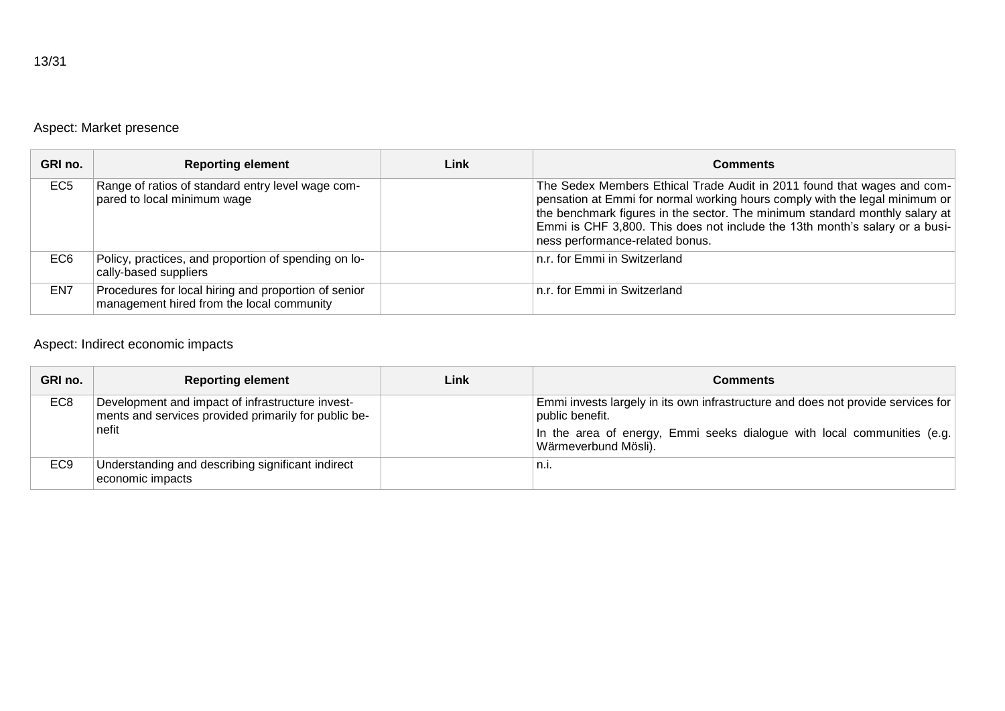## Aspect: Market presence

| GRI no.         | <b>Reporting element</b>                                                                          | Link | <b>Comments</b>                                                                                                                                                                                                                                                                                                                                         |
|-----------------|---------------------------------------------------------------------------------------------------|------|---------------------------------------------------------------------------------------------------------------------------------------------------------------------------------------------------------------------------------------------------------------------------------------------------------------------------------------------------------|
| EC <sub>5</sub> | Range of ratios of standard entry level wage com-<br>pared to local minimum wage                  |      | The Sedex Members Ethical Trade Audit in 2011 found that wages and com-<br>pensation at Emmi for normal working hours comply with the legal minimum or<br>the benchmark figures in the sector. The minimum standard monthly salary at<br>Emmi is CHF 3,800. This does not include the 13th month's salary or a busi-<br>ness performance-related bonus. |
| EC <sub>6</sub> | Policy, practices, and proportion of spending on lo-<br>cally-based suppliers                     |      | n.r. for Emmi in Switzerland                                                                                                                                                                                                                                                                                                                            |
| EN7             | Procedures for local hiring and proportion of senior<br>management hired from the local community |      | n.r. for Emmi in Switzerland                                                                                                                                                                                                                                                                                                                            |

## Aspect: Indirect economic impacts

| GRI no.         | <b>Reporting element</b>                                                                                          | Link | Comments                                                                                                                                                                                               |
|-----------------|-------------------------------------------------------------------------------------------------------------------|------|--------------------------------------------------------------------------------------------------------------------------------------------------------------------------------------------------------|
| EC8             | Development and impact of infrastructure invest-<br>ments and services provided primarily for public be-<br>nefit |      | Emmi invests largely in its own infrastructure and does not provide services for<br>public benefit.<br>In the area of energy, Emmi seeks dialogue with local communities (e.g.<br>Wärmeverbund Mösli). |
| EC <sub>9</sub> | Understanding and describing significant indirect<br>economic impacts                                             |      | $n_{\cdot}$                                                                                                                                                                                            |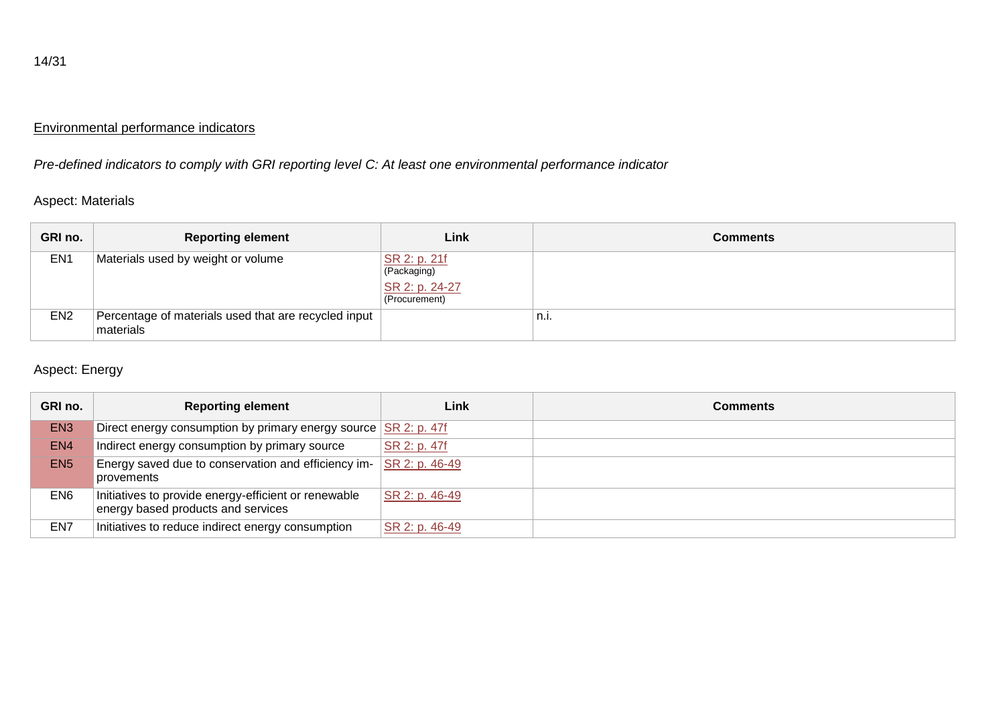## Environmental performance indicators

*Pre-defined indicators to comply with GRI reporting level C: At least one environmental performance indicator*

#### Aspect: Materials

| GRI no.         | <b>Reporting element</b>                                          | Link                                                           | Comments |
|-----------------|-------------------------------------------------------------------|----------------------------------------------------------------|----------|
| EN <sub>1</sub> | Materials used by weight or volume                                | SR 2: p. 21f<br>(Packaging)<br>SR 2: p. 24-27<br>(Procurement) |          |
| EN <sub>2</sub> | Percentage of materials used that are recycled input<br>materials |                                                                | n.i.     |

## Aspect: Energy

| GRI no.         | <b>Reporting element</b>                                                                   | Link           | Comments |
|-----------------|--------------------------------------------------------------------------------------------|----------------|----------|
| EN <sub>3</sub> | Direct energy consumption by primary energy source $\sqrt{\text{SR 2: p. 47f}}$            |                |          |
| EN <sub>4</sub> | Indirect energy consumption by primary source                                              | SR 2: p. 47f   |          |
| EN <sub>5</sub> | Energy saved due to conservation and efficiency im-<br>provements                          | SR 2: p. 46-49 |          |
| EN <sub>6</sub> | Initiatives to provide energy-efficient or renewable<br>energy based products and services | SR 2: p. 46-49 |          |
| EN7             | Initiatives to reduce indirect energy consumption                                          | SR 2: p. 46-49 |          |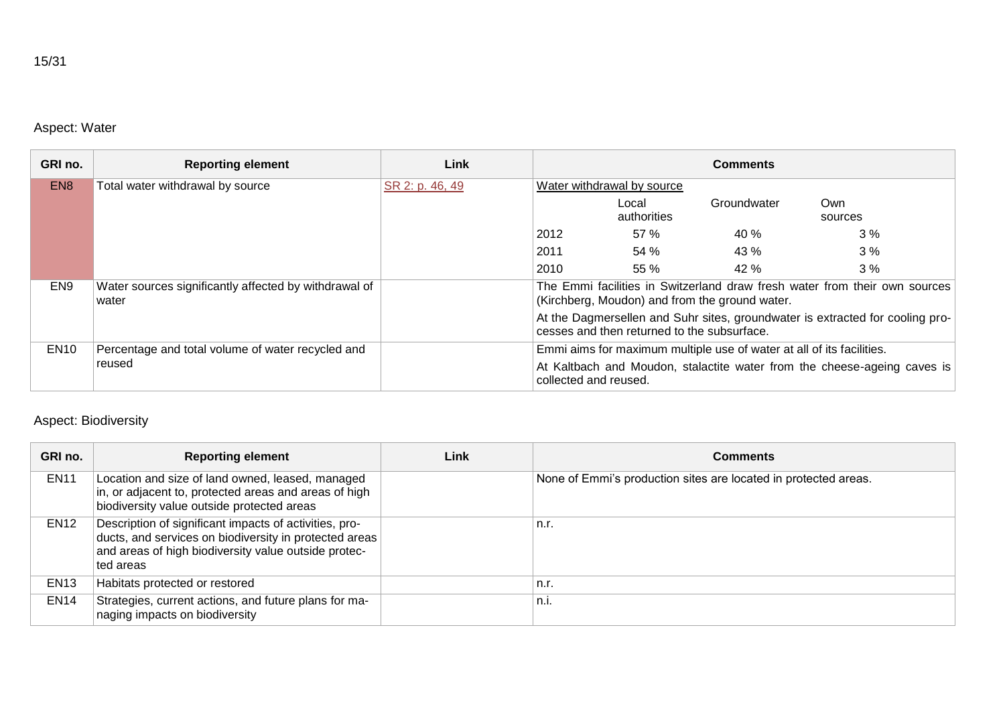## Aspect: Water

| GRI no.         | <b>Reporting element</b>                                       | Link            |                       |                                             | <b>Comments</b>                                                       |                                                                               |
|-----------------|----------------------------------------------------------------|-----------------|-----------------------|---------------------------------------------|-----------------------------------------------------------------------|-------------------------------------------------------------------------------|
| EN <sub>8</sub> | Total water withdrawal by source                               | SR 2: p. 46, 49 |                       | Water withdrawal by source                  |                                                                       |                                                                               |
|                 |                                                                |                 |                       | Local<br>authorities                        | Groundwater                                                           | Own<br>sources                                                                |
|                 |                                                                |                 | 2012                  | 57%                                         | 40%                                                                   | 3%                                                                            |
|                 |                                                                |                 | 2011                  | 54 %                                        | 43 %                                                                  | 3%                                                                            |
|                 |                                                                |                 | 2010                  | 55%                                         | 42%                                                                   | 3%                                                                            |
| EN <sub>9</sub> | Water sources significantly affected by withdrawal of<br>water |                 |                       |                                             | (Kirchberg, Moudon) and from the ground water.                        | The Emmi facilities in Switzerland draw fresh water from their own sources    |
|                 |                                                                |                 |                       | cesses and then returned to the subsurface. |                                                                       | At the Dagmersellen and Suhr sites, groundwater is extracted for cooling pro- |
| <b>EN10</b>     | Percentage and total volume of water recycled and              |                 |                       |                                             | Emmi aims for maximum multiple use of water at all of its facilities. |                                                                               |
|                 | reused                                                         |                 | collected and reused. |                                             |                                                                       | At Kaltbach and Moudon, stalactite water from the cheese-ageing caves is      |

## Aspect: Biodiversity

| GRI no.     | <b>Reporting element</b>                                                                                                                                                              | Link | <b>Comments</b>                                                 |
|-------------|---------------------------------------------------------------------------------------------------------------------------------------------------------------------------------------|------|-----------------------------------------------------------------|
| <b>EN11</b> | Location and size of land owned, leased, managed<br>in, or adjacent to, protected areas and areas of high<br>biodiversity value outside protected areas                               |      | None of Emmi's production sites are located in protected areas. |
| <b>EN12</b> | Description of significant impacts of activities, pro-<br>ducts, and services on biodiversity in protected areas<br>and areas of high biodiversity value outside protec-<br>ted areas |      | n.r.                                                            |
| <b>EN13</b> | Habitats protected or restored                                                                                                                                                        |      | n.r.                                                            |
| <b>EN14</b> | Strategies, current actions, and future plans for ma-<br>naging impacts on biodiversity                                                                                               |      | n.i.                                                            |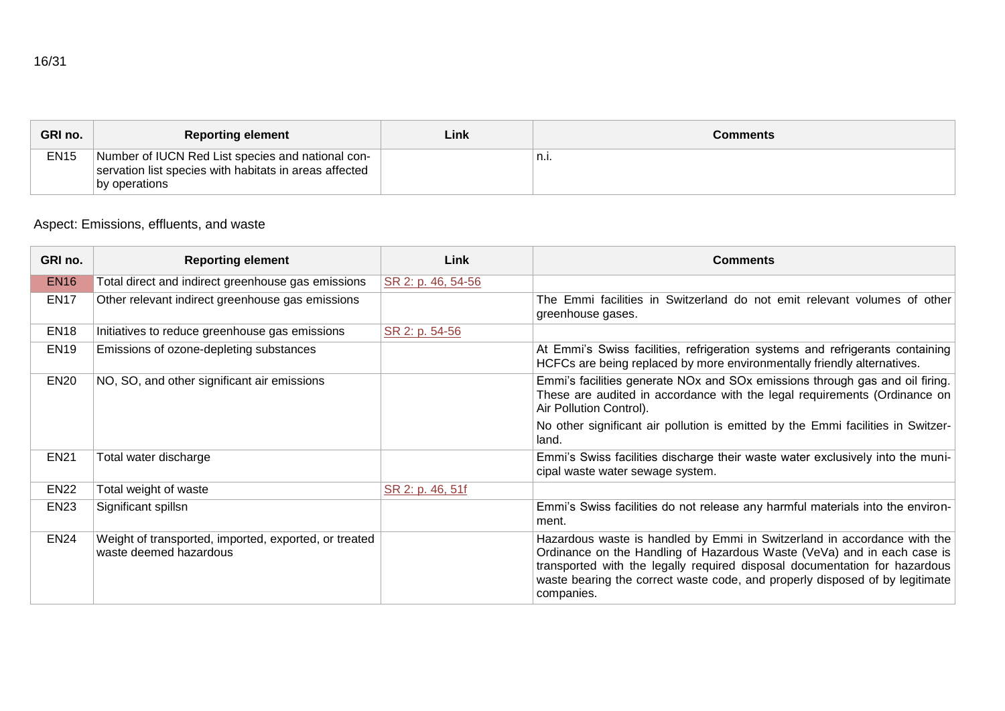| GRI no.     | <b>Reporting element</b>                                                                                                     | Link | Comments |
|-------------|------------------------------------------------------------------------------------------------------------------------------|------|----------|
| <b>EN15</b> | Number of IUCN Red List species and national con-<br>servation list species with habitats in areas affected<br>by operations |      | n.i.     |

## Aspect: Emissions, effluents, and waste

| GRI no.     | <b>Reporting element</b>                                                        | Link               | <b>Comments</b>                                                                                                                                                                                                                                                                                                                 |
|-------------|---------------------------------------------------------------------------------|--------------------|---------------------------------------------------------------------------------------------------------------------------------------------------------------------------------------------------------------------------------------------------------------------------------------------------------------------------------|
| <b>EN16</b> | Total direct and indirect greenhouse gas emissions                              | SR 2: p. 46, 54-56 |                                                                                                                                                                                                                                                                                                                                 |
| <b>EN17</b> | Other relevant indirect greenhouse gas emissions                                |                    | The Emmi facilities in Switzerland do not emit relevant volumes of other<br>greenhouse gases.                                                                                                                                                                                                                                   |
| <b>EN18</b> | Initiatives to reduce greenhouse gas emissions                                  | SR 2: p. 54-56     |                                                                                                                                                                                                                                                                                                                                 |
| <b>EN19</b> | Emissions of ozone-depleting substances                                         |                    | At Emmi's Swiss facilities, refrigeration systems and refrigerants containing<br>HCFCs are being replaced by more environmentally friendly alternatives.                                                                                                                                                                        |
| <b>EN20</b> | NO, SO, and other significant air emissions                                     |                    | Emmi's facilities generate NOx and SOx emissions through gas and oil firing.<br>These are audited in accordance with the legal requirements (Ordinance on<br>Air Pollution Control).                                                                                                                                            |
|             |                                                                                 |                    | No other significant air pollution is emitted by the Emmi facilities in Switzer-<br>land.                                                                                                                                                                                                                                       |
| <b>EN21</b> | Total water discharge                                                           |                    | Emmi's Swiss facilities discharge their waste water exclusively into the muni-<br>cipal waste water sewage system.                                                                                                                                                                                                              |
| <b>EN22</b> | Total weight of waste                                                           | SR 2: p. 46, 51f   |                                                                                                                                                                                                                                                                                                                                 |
| <b>EN23</b> | Significant spillsn                                                             |                    | Emmi's Swiss facilities do not release any harmful materials into the environ-<br>ment.                                                                                                                                                                                                                                         |
| <b>EN24</b> | Weight of transported, imported, exported, or treated<br>waste deemed hazardous |                    | Hazardous waste is handled by Emmi in Switzerland in accordance with the<br>Ordinance on the Handling of Hazardous Waste (VeVa) and in each case is<br>transported with the legally required disposal documentation for hazardous<br>waste bearing the correct waste code, and properly disposed of by legitimate<br>companies. |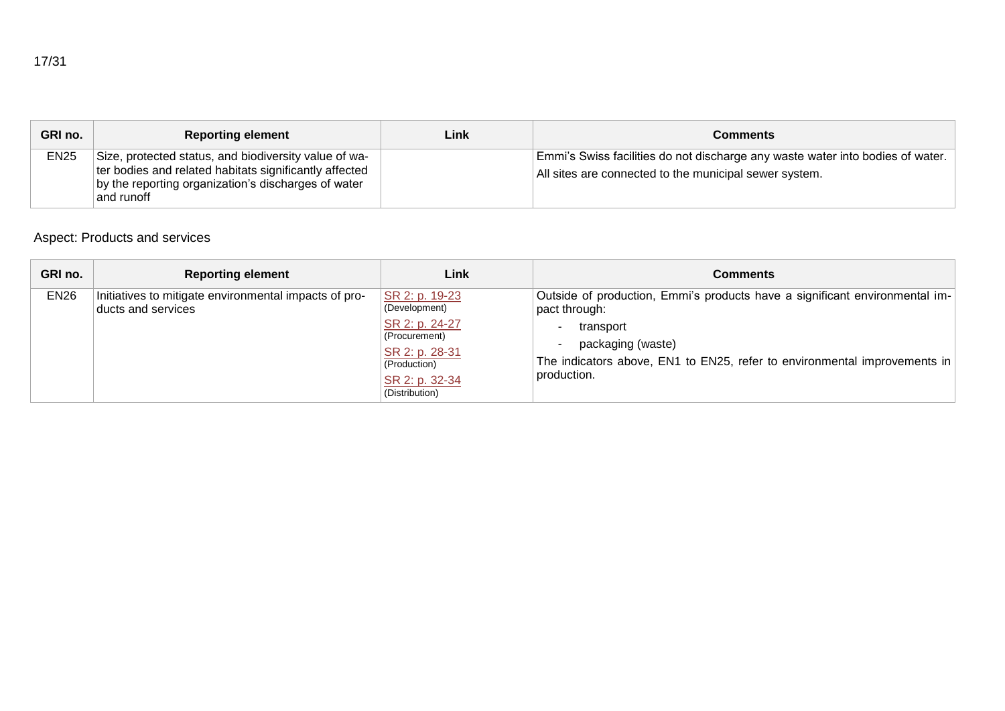|--|--|

| GRI no.     | <b>Reporting element</b>                                                                                                                                                             | Link | Comments                                                                                                                                 |
|-------------|--------------------------------------------------------------------------------------------------------------------------------------------------------------------------------------|------|------------------------------------------------------------------------------------------------------------------------------------------|
| <b>EN25</b> | Size, protected status, and biodiversity value of wa-<br>ter bodies and related habitats significantly affected<br>by the reporting organization's discharges of water<br>and runoff |      | Emmi's Swiss facilities do not discharge any waste water into bodies of water.<br>All sites are connected to the municipal sewer system. |

## Aspect: Products and services

| GRI no.     | <b>Reporting element</b>                                                    | Link                                                                                                                                     | Comments                                                                                                                                                                                                                   |
|-------------|-----------------------------------------------------------------------------|------------------------------------------------------------------------------------------------------------------------------------------|----------------------------------------------------------------------------------------------------------------------------------------------------------------------------------------------------------------------------|
| <b>EN26</b> | Initiatives to mitigate environmental impacts of pro-<br>ducts and services | SR 2: p. 19-23<br>(Development)<br>SR 2: p. 24-27<br>(Procurement)<br>SR 2: p. 28-31<br>(Production)<br>SR 2: p. 32-34<br>(Distribution) | Outside of production, Emmi's products have a significant environmental im-<br>pact through:<br>transport<br>packaging (waste)<br>The indicators above, EN1 to EN25, refer to environmental improvements in<br>production. |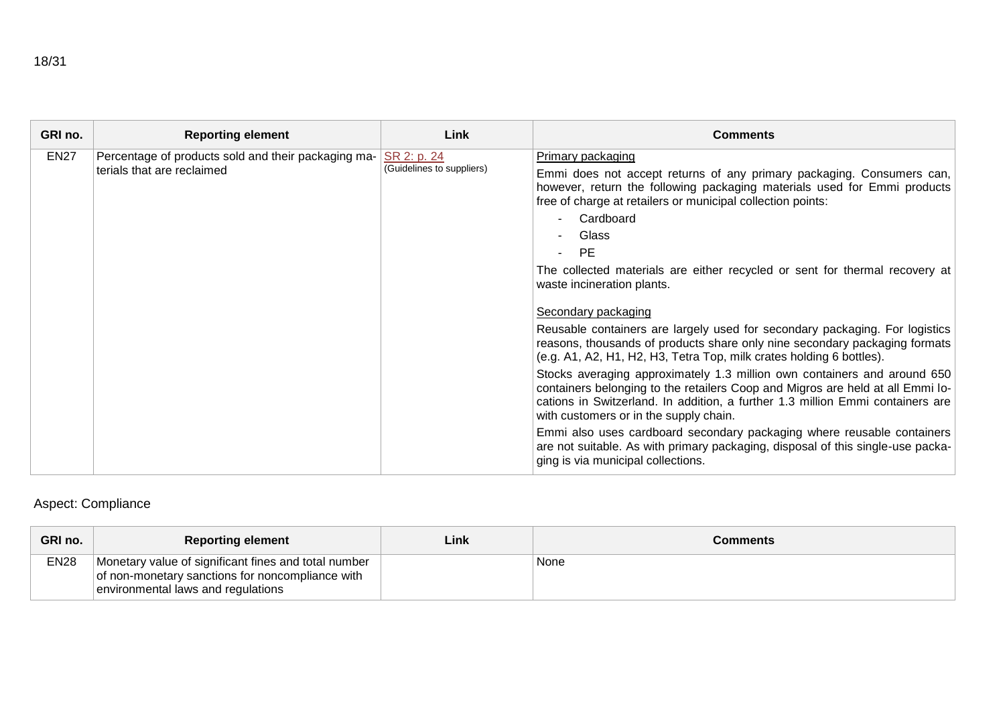| GRI no.     | <b>Reporting element</b>                                                          | Link                                     | <b>Comments</b>                                                                                                                                                                                                                                                                                                                                                                              |
|-------------|-----------------------------------------------------------------------------------|------------------------------------------|----------------------------------------------------------------------------------------------------------------------------------------------------------------------------------------------------------------------------------------------------------------------------------------------------------------------------------------------------------------------------------------------|
| <b>EN27</b> | Percentage of products sold and their packaging ma-<br>terials that are reclaimed | SR 2: p. 24<br>(Guidelines to suppliers) | <b>Primary packaging</b><br>Emmi does not accept returns of any primary packaging. Consumers can,<br>however, return the following packaging materials used for Emmi products<br>free of charge at retailers or municipal collection points:<br>Cardboard<br>Glass<br><b>PE</b><br>The collected materials are either recycled or sent for thermal recovery at<br>waste incineration plants. |
|             |                                                                                   |                                          | Secondary packaging<br>Reusable containers are largely used for secondary packaging. For logistics<br>reasons, thousands of products share only nine secondary packaging formats<br>(e.g. A1, A2, H1, H2, H3, Tetra Top, milk crates holding 6 bottles).                                                                                                                                     |
|             |                                                                                   |                                          | Stocks averaging approximately 1.3 million own containers and around 650<br>containers belonging to the retailers Coop and Migros are held at all Emmi lo-<br>cations in Switzerland. In addition, a further 1.3 million Emmi containers are<br>with customers or in the supply chain.                                                                                                       |
|             |                                                                                   |                                          | Emmi also uses cardboard secondary packaging where reusable containers<br>are not suitable. As with primary packaging, disposal of this single-use packa-<br>ging is via municipal collections.                                                                                                                                                                                              |

# Aspect: Compliance

| GRI no.     | <b>Reporting element</b>                                                                                                                       | Link | Comments |
|-------------|------------------------------------------------------------------------------------------------------------------------------------------------|------|----------|
| <b>EN28</b> | Monetary value of significant fines and total number<br>of non-monetary sanctions for noncompliance with<br>environmental laws and regulations |      | None     |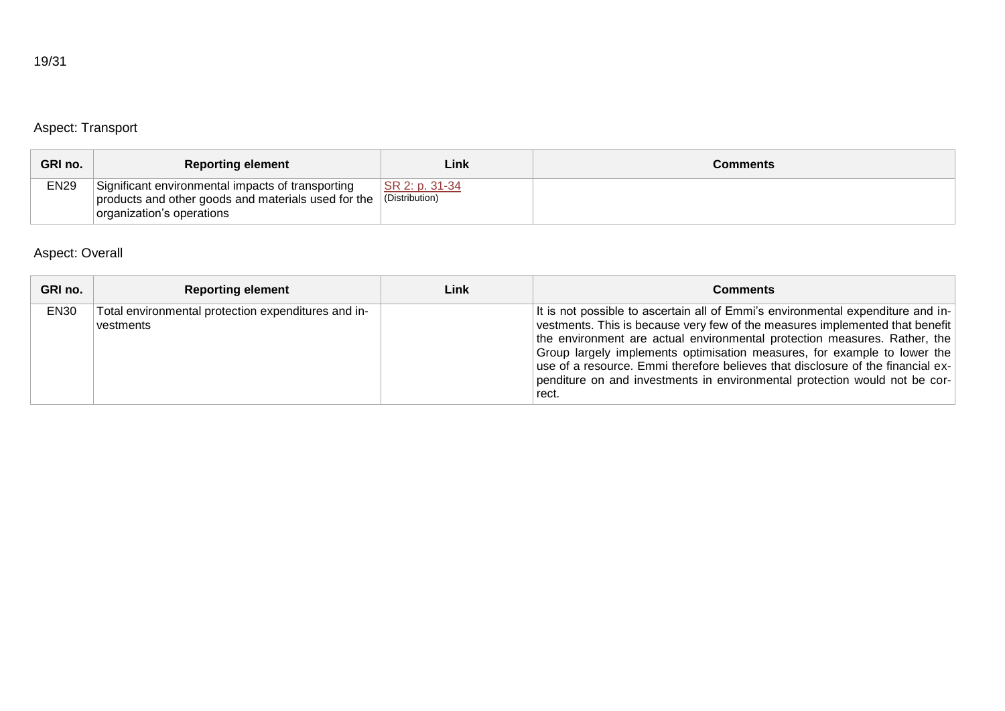# Aspect: Transport

| GRI no.     | <b>Reporting element</b>                                                                                                              | Link                             | Comments |
|-------------|---------------------------------------------------------------------------------------------------------------------------------------|----------------------------------|----------|
| <b>EN29</b> | Significant environmental impacts of transporting<br>products and other goods and materials used for the<br>organization's operations | SR 2: p. 31-34<br>(Distribution) |          |

## Aspect: Overall

| GRI no.          | <b>Reporting element</b>                                         | Link | Comments                                                                                                                                                                                                                                                                                                                                                                                                                                                                                           |
|------------------|------------------------------------------------------------------|------|----------------------------------------------------------------------------------------------------------------------------------------------------------------------------------------------------------------------------------------------------------------------------------------------------------------------------------------------------------------------------------------------------------------------------------------------------------------------------------------------------|
| EN <sub>30</sub> | Total environmental protection expenditures and in-<br>vestments |      | It is not possible to ascertain all of Emmi's environmental expenditure and in-<br>vestments. This is because very few of the measures implemented that benefit<br>the environment are actual environmental protection measures. Rather, the<br>Group largely implements optimisation measures, for example to lower the<br>use of a resource. Emmi therefore believes that disclosure of the financial ex-<br>penditure on and investments in environmental protection would not be cor-<br>rect. |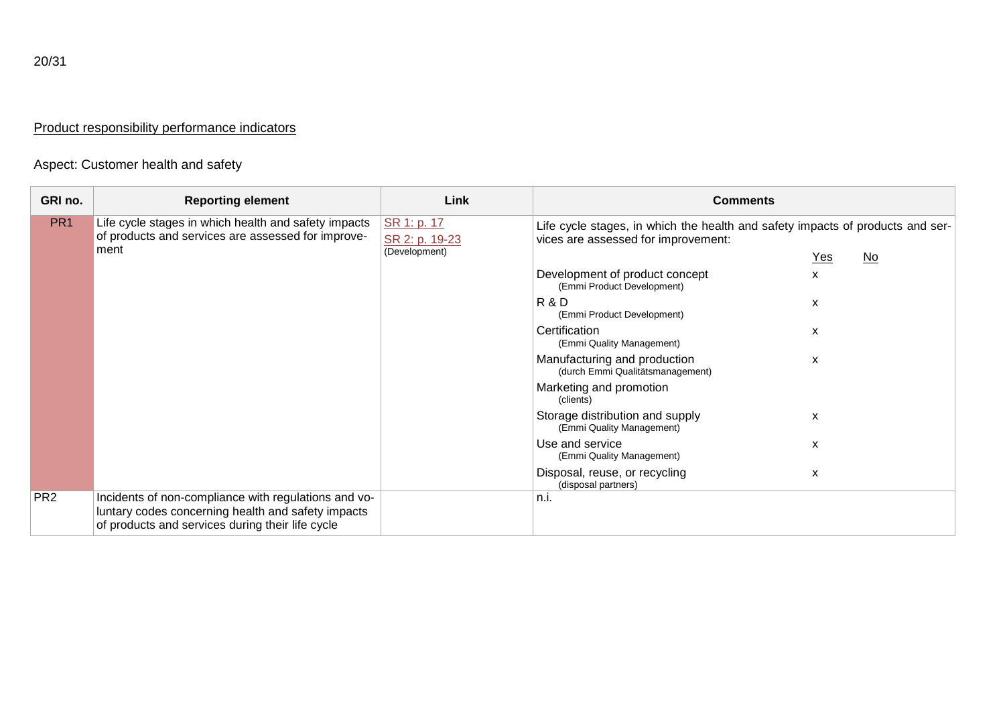## Product responsibility performance indicators

# Aspect: Customer health and safety

| GRI no.         | <b>Reporting element</b>                                                                                                                                       | Link                          | <b>Comments</b>                                                                                                       |       |                           |
|-----------------|----------------------------------------------------------------------------------------------------------------------------------------------------------------|-------------------------------|-----------------------------------------------------------------------------------------------------------------------|-------|---------------------------|
| PR <sub>1</sub> | Life cycle stages in which health and safety impacts<br>of products and services are assessed for improve-<br>ment                                             | SR 1: p. 17<br>SR 2: p. 19-23 | Life cycle stages, in which the health and safety impacts of products and ser-<br>vices are assessed for improvement: |       |                           |
|                 |                                                                                                                                                                | (Development)                 |                                                                                                                       | $Yes$ | $\underline{\mathsf{No}}$ |
|                 |                                                                                                                                                                |                               | Development of product concept<br>(Emmi Product Development)                                                          | X     |                           |
|                 |                                                                                                                                                                |                               | R&D<br>(Emmi Product Development)                                                                                     | X     |                           |
|                 |                                                                                                                                                                |                               | Certification<br>(Emmi Quality Management)                                                                            | X     |                           |
|                 |                                                                                                                                                                |                               | Manufacturing and production<br>(durch Emmi Qualitätsmanagement)                                                      | X     |                           |
|                 |                                                                                                                                                                |                               | Marketing and promotion<br>(clients)                                                                                  |       |                           |
|                 |                                                                                                                                                                |                               | Storage distribution and supply<br>(Emmi Quality Management)                                                          | X     |                           |
|                 |                                                                                                                                                                |                               | Use and service<br>(Emmi Quality Management)                                                                          | X     |                           |
|                 |                                                                                                                                                                |                               | Disposal, reuse, or recycling<br>(disposal partners)                                                                  | X     |                           |
| PR <sub>2</sub> | Incidents of non-compliance with regulations and vo-<br>luntary codes concerning health and safety impacts<br>of products and services during their life cycle |                               | n.i.                                                                                                                  |       |                           |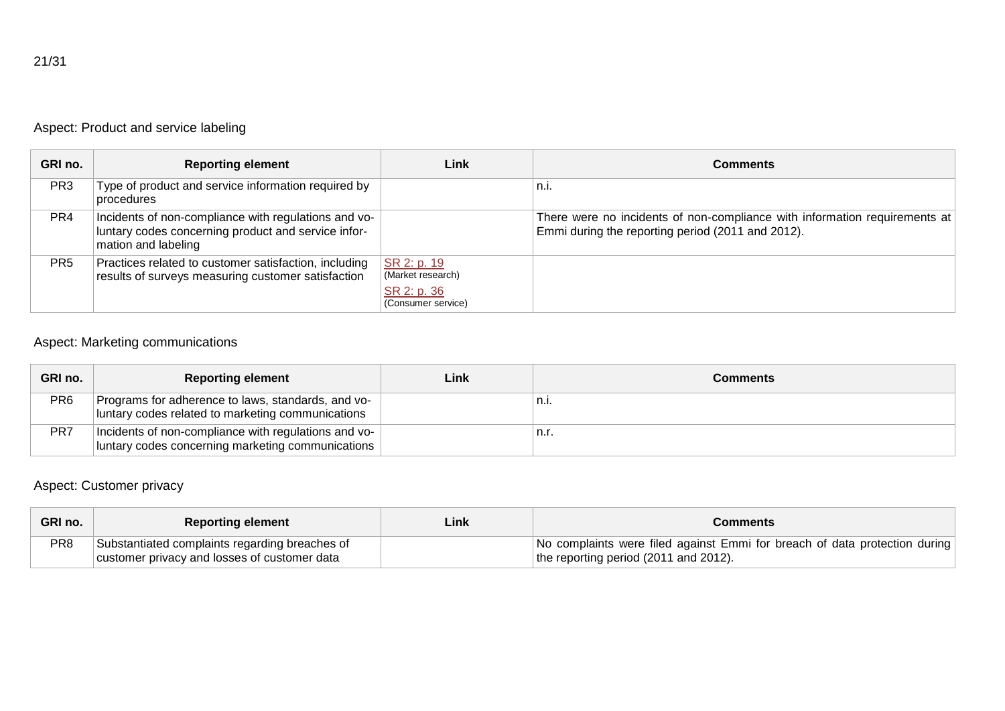|  |  | Aspect: Product and service labeling |
|--|--|--------------------------------------|
|  |  |                                      |

| GRI no.         | <b>Reporting element</b>                                                                                                           | Link                                                                  | <b>Comments</b>                                                                                                                 |
|-----------------|------------------------------------------------------------------------------------------------------------------------------------|-----------------------------------------------------------------------|---------------------------------------------------------------------------------------------------------------------------------|
| PR <sub>3</sub> | Type of product and service information required by<br>procedures                                                                  |                                                                       | `n.i.                                                                                                                           |
| PR <sub>4</sub> | Incidents of non-compliance with regulations and vo-<br>luntary codes concerning product and service infor-<br>mation and labeling |                                                                       | There were no incidents of non-compliance with information requirements at<br>Emmi during the reporting period (2011 and 2012). |
| PR <sub>5</sub> | Practices related to customer satisfaction, including<br>results of surveys measuring customer satisfaction                        | SR 2: p. 19<br>(Market research)<br>SR 2: p. 36<br>(Consumer service) |                                                                                                                                 |

## Aspect: Marketing communications

| GRI no. | <b>Reporting element</b>                                                                                  | Link | Comments |
|---------|-----------------------------------------------------------------------------------------------------------|------|----------|
| PR6     | Programs for adherence to laws, standards, and vo-<br>luntary codes related to marketing communications   |      | n.i.     |
| PR7     | Incidents of non-compliance with regulations and vo-<br>luntary codes concerning marketing communications |      | n.r.     |

# Aspect: Customer privacy

| GRI no. | <b>Reporting element</b>                       | Link | Comments                                                                   |
|---------|------------------------------------------------|------|----------------------------------------------------------------------------|
| PR8     | Substantiated complaints regarding breaches of |      | No complaints were filed against Emmi for breach of data protection during |
|         | customer privacy and losses of customer data   |      | the reporting period (2011 and 2012).                                      |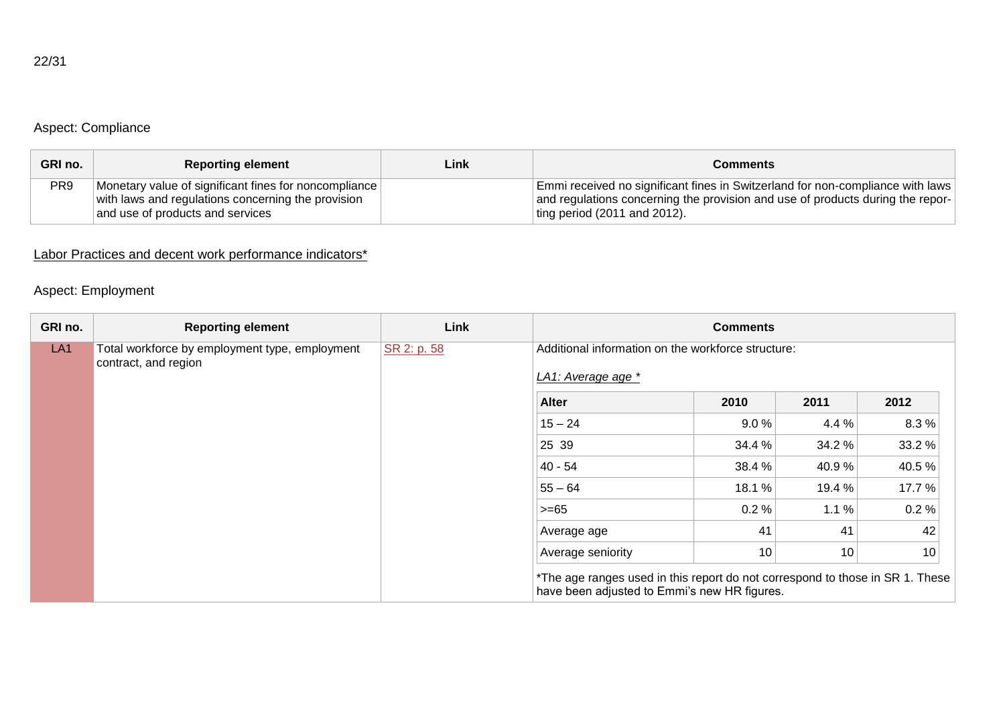## Aspect: Compliance

| GRI no. | <b>Reporting element</b>                                                                                                                        | Link | Comments                                                                                                                                                                                         |
|---------|-------------------------------------------------------------------------------------------------------------------------------------------------|------|--------------------------------------------------------------------------------------------------------------------------------------------------------------------------------------------------|
| PR9     | Monetary value of significant fines for noncompliance<br>with laws and regulations concerning the provision<br>and use of products and services |      | Emmi received no significant fines in Switzerland for non-compliance with laws<br>and regulations concerning the provision and use of products during the repor-<br>ting period (2011 and 2012). |

## Labor Practices and decent work performance indicators<sup>\*</sup>

## Aspect: Employment

| GRI no.         | <b>Reporting element</b>                                               | Link        |                                                                                                                               | <b>Comments</b> |        |        |
|-----------------|------------------------------------------------------------------------|-------------|-------------------------------------------------------------------------------------------------------------------------------|-----------------|--------|--------|
| LA <sub>1</sub> | Total workforce by employment type, employment<br>contract, and region | SR 2: p. 58 | Additional information on the workforce structure:<br>LA1: Average age *                                                      |                 |        |        |
|                 |                                                                        |             | <b>Alter</b>                                                                                                                  | 2010            | 2011   | 2012   |
|                 |                                                                        |             | $15 - 24$                                                                                                                     | 9.0%            | 4.4 %  | 8.3%   |
|                 |                                                                        |             | 25 39                                                                                                                         | 34.4 %          | 34.2 % | 33.2 % |
|                 |                                                                        |             | 40 - 54                                                                                                                       | 38.4 %          | 40.9%  | 40.5%  |
|                 |                                                                        |             | $55 - 64$                                                                                                                     | 18.1 %          | 19.4 % | 17.7 % |
|                 |                                                                        |             | $>= 65$                                                                                                                       | 0.2%            | 1.1%   | 0.2%   |
|                 |                                                                        |             | Average age                                                                                                                   | 41              | 41     | 42     |
|                 |                                                                        |             | Average seniority                                                                                                             | 10              | 10     | 10     |
|                 |                                                                        |             | *The age ranges used in this report do not correspond to those in SR 1. These<br>have been adjusted to Emmi's new HR figures. |                 |        |        |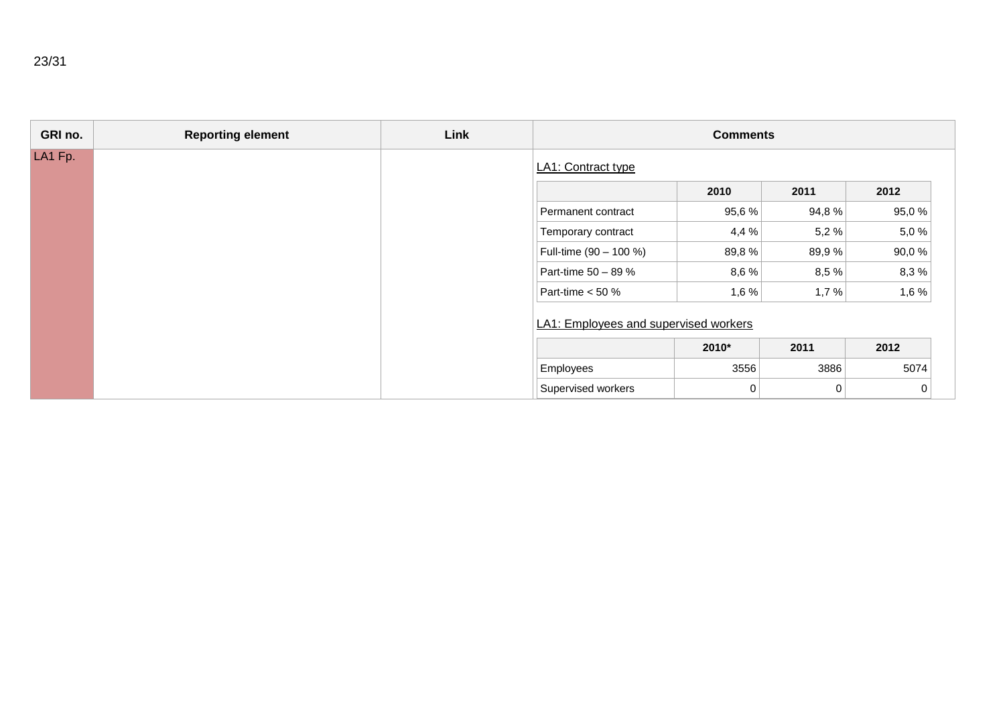| GRI no. | <b>Reporting element</b> | Link |                                       | <b>Comments</b> |       |       |
|---------|--------------------------|------|---------------------------------------|-----------------|-------|-------|
| LA1 Fp. |                          |      | LA1: Contract type                    |                 |       |       |
|         |                          |      |                                       | 2010            | 2011  | 2012  |
|         |                          |      | Permanent contract                    | 95,6%           | 94,8% | 95,0% |
|         |                          |      | Temporary contract                    | 4,4%            | 5,2 % | 5,0%  |
|         |                          |      | Full-time (90 - 100 %)                | 89,8 %          | 89,9% | 90,0% |
|         |                          |      | Part-time 50 - 89 %                   | 8,6%            | 8,5 % | 8,3%  |
|         |                          |      | Part-time < 50 %                      | 1,6%            | 1,7%  | 1,6 % |
|         |                          |      | LA1: Employees and supervised workers |                 |       |       |
|         |                          |      |                                       | 2010*           | 2011  | 2012  |
|         |                          |      | Employees                             | 3556            | 3886  | 5074  |
|         |                          |      | Supervised workers                    | 0               | 0     | 0     |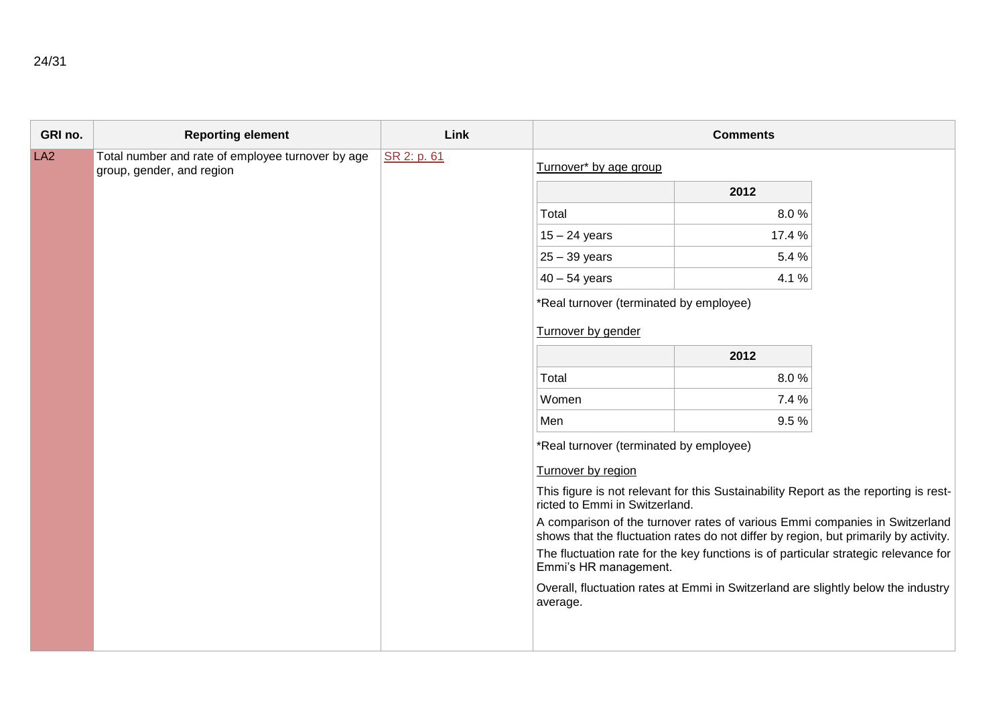| GRI no. | <b>Reporting element</b>                                                       | Link        |                                                                                                                                                                     | <b>Comments</b> |  |
|---------|--------------------------------------------------------------------------------|-------------|---------------------------------------------------------------------------------------------------------------------------------------------------------------------|-----------------|--|
| LA2     | Total number and rate of employee turnover by age<br>group, gender, and region | SR 2: p. 61 | Turnover* by age group                                                                                                                                              |                 |  |
|         |                                                                                |             |                                                                                                                                                                     | 2012            |  |
|         |                                                                                |             | Total                                                                                                                                                               | 8.0%            |  |
|         |                                                                                |             | $15 - 24$ years                                                                                                                                                     | 17.4 %          |  |
|         |                                                                                |             | $25 - 39$ years                                                                                                                                                     | 5.4 %           |  |
|         |                                                                                |             | $40 - 54$ years                                                                                                                                                     | 4.1 %           |  |
|         |                                                                                |             | *Real turnover (terminated by employee)                                                                                                                             |                 |  |
|         |                                                                                |             | Turnover by gender                                                                                                                                                  |                 |  |
|         |                                                                                |             |                                                                                                                                                                     | 2012            |  |
|         |                                                                                |             | Total                                                                                                                                                               | 8.0%            |  |
|         |                                                                                |             | Women                                                                                                                                                               | 7.4 %           |  |
|         |                                                                                |             | Men                                                                                                                                                                 | 9.5%            |  |
|         |                                                                                |             | *Real turnover (terminated by employee)                                                                                                                             |                 |  |
|         |                                                                                |             | Turnover by region<br>This figure is not relevant for this Sustainability Report as the reporting is rest-<br>ricted to Emmi in Switzerland.                        |                 |  |
|         |                                                                                |             |                                                                                                                                                                     |                 |  |
|         |                                                                                |             | A comparison of the turnover rates of various Emmi companies in Switzerland<br>shows that the fluctuation rates do not differ by region, but primarily by activity. |                 |  |
|         |                                                                                |             | The fluctuation rate for the key functions is of particular strategic relevance for<br>Emmi's HR management.                                                        |                 |  |
|         |                                                                                |             | Overall, fluctuation rates at Emmi in Switzerland are slightly below the industry<br>average.                                                                       |                 |  |
|         |                                                                                |             |                                                                                                                                                                     |                 |  |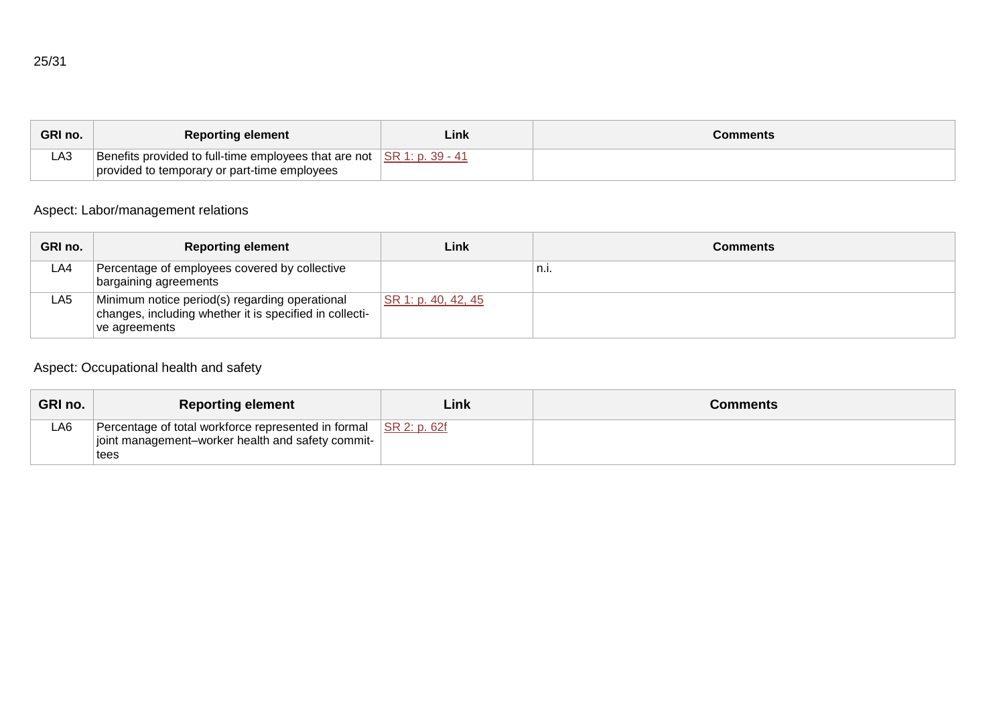| GRI no. | <b>Reporting element</b>                                                                                                                   | Link | Comments |
|---------|--------------------------------------------------------------------------------------------------------------------------------------------|------|----------|
| LA3     | Benefits provided to full-time employees that are not $\overline{\text{SR 1: p. 39 - 41}}$<br>provided to temporary or part-time employees |      |          |

# Aspect: Labor/management relations

| GRI no. | <b>Reporting element</b>                                                                                                    | Link                | Comments |
|---------|-----------------------------------------------------------------------------------------------------------------------------|---------------------|----------|
| LA4     | Percentage of employees covered by collective<br>bargaining agreements                                                      |                     | n.i.     |
| LA5     | Minimum notice period(s) regarding operational<br>changes, including whether it is specified in collecti-<br>Ive agreements | SR 1: p. 40, 42, 45 |          |

# Aspect: Occupational health and safety

| <b>GRI no.</b> | <b>Reporting element</b>                                                                                                      | Link | <b>Comments</b> |
|----------------|-------------------------------------------------------------------------------------------------------------------------------|------|-----------------|
| LA6            | Percentage of total workforce represented in formal SR 2: p. 62f<br>joint management-worker health and safety commit-<br>tees |      |                 |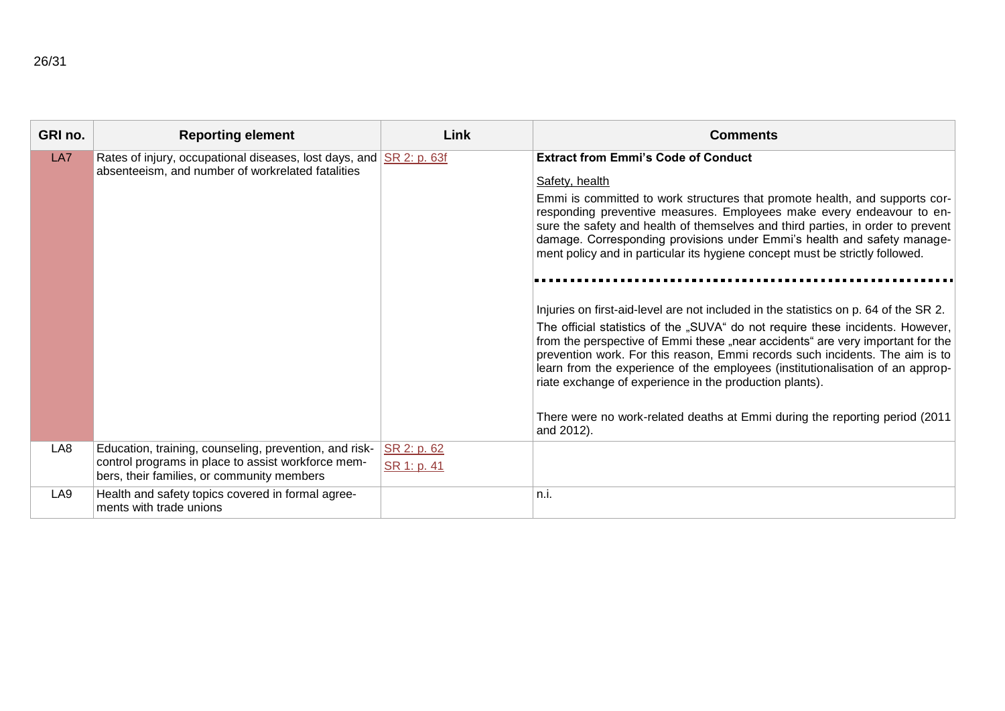| GRI no. | <b>Reporting element</b>                                                                                                                                   | Link                       | <b>Comments</b>                                                                                                                                                                                                                                                                                                                                                                                                                                                                                                                                                                     |
|---------|------------------------------------------------------------------------------------------------------------------------------------------------------------|----------------------------|-------------------------------------------------------------------------------------------------------------------------------------------------------------------------------------------------------------------------------------------------------------------------------------------------------------------------------------------------------------------------------------------------------------------------------------------------------------------------------------------------------------------------------------------------------------------------------------|
| LA7     | Rates of injury, occupational diseases, lost days, and SR 2: p. 63f<br>absenteeism, and number of workrelated fatalities                                   |                            | <b>Extract from Emmi's Code of Conduct</b><br>Safety, health<br>Emmi is committed to work structures that promote health, and supports cor-<br>responding preventive measures. Employees make every endeavour to en-<br>sure the safety and health of themselves and third parties, in order to prevent<br>damage. Corresponding provisions under Emmi's health and safety manage-<br>ment policy and in particular its hygiene concept must be strictly followed.                                                                                                                  |
|         |                                                                                                                                                            |                            | Injuries on first-aid-level are not included in the statistics on p. 64 of the SR 2.<br>The official statistics of the "SUVA" do not require these incidents. However,<br>from the perspective of Emmi these "near accidents" are very important for the<br>prevention work. For this reason, Emmi records such incidents. The aim is to<br>learn from the experience of the employees (institutionalisation of an approp-<br>riate exchange of experience in the production plants).<br>There were no work-related deaths at Emmi during the reporting period (2011)<br>and 2012). |
| LA8     | Education, training, counseling, prevention, and risk-<br>control programs in place to assist workforce mem-<br>bers, their families, or community members | SR 2: p. 62<br>SR 1: p. 41 |                                                                                                                                                                                                                                                                                                                                                                                                                                                                                                                                                                                     |
| LA9     | Health and safety topics covered in formal agree-<br>ments with trade unions                                                                               |                            | n.i.                                                                                                                                                                                                                                                                                                                                                                                                                                                                                                                                                                                |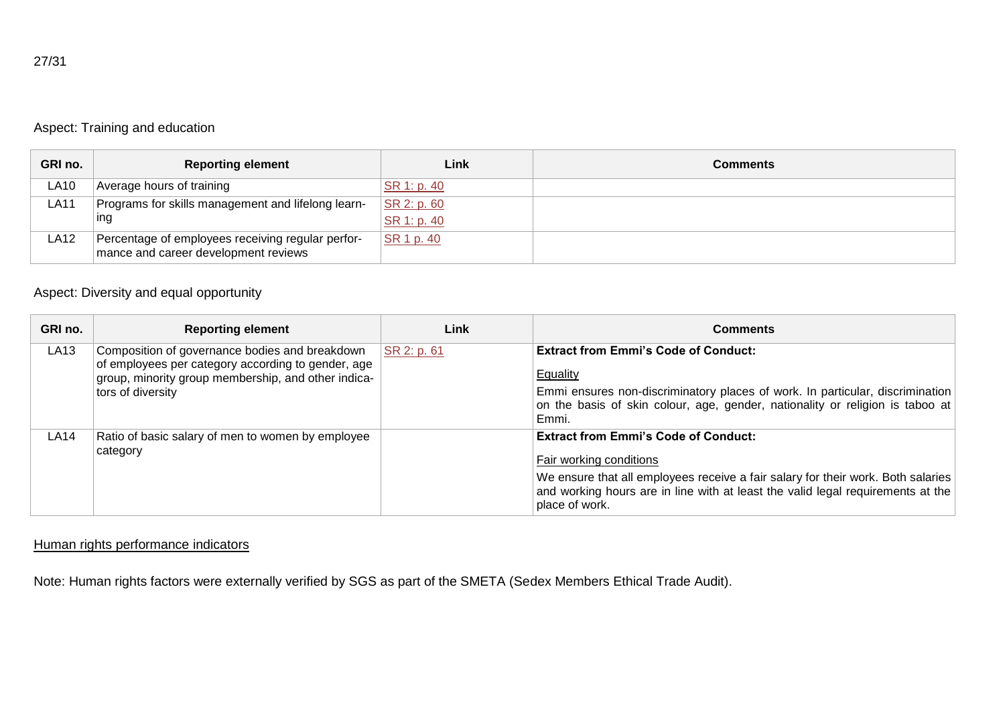|--|--|

#### Aspect: Training and education

| GRI no.     | <b>Reporting element</b>                                                                  | Link                       | <b>Comments</b> |
|-------------|-------------------------------------------------------------------------------------------|----------------------------|-----------------|
| ∟A10        | Average hours of training                                                                 | SR 1: p. 40                |                 |
| <b>LA11</b> | Programs for skills management and lifelong learn-<br>ing                                 | SR 2: p. 60<br>SR 1: p. 40 |                 |
| LA12        | Percentage of employees receiving regular perfor-<br>mance and career development reviews | SR 1 p. 40                 |                 |

# Aspect: Diversity and equal opportunity

| GRI no. | <b>Reporting element</b>                                                                                                                                                         | Link        | <b>Comments</b>                                                                                                                                                                                                                                                 |
|---------|----------------------------------------------------------------------------------------------------------------------------------------------------------------------------------|-------------|-----------------------------------------------------------------------------------------------------------------------------------------------------------------------------------------------------------------------------------------------------------------|
| LA13    | Composition of governance bodies and breakdown<br>of employees per category according to gender, age<br>group, minority group membership, and other indica-<br>tors of diversity | SR 2: p. 61 | <b>Extract from Emmi's Code of Conduct:</b><br>Equality<br>Emmi ensures non-discriminatory places of work. In particular, discrimination<br>on the basis of skin colour, age, gender, nationality or religion is taboo at<br>Emmi.                              |
| LA14    | Ratio of basic salary of men to women by employee<br>category                                                                                                                    |             | <b>Extract from Emmi's Code of Conduct:</b><br>Fair working conditions<br>We ensure that all employees receive a fair salary for their work. Both salaries<br>and working hours are in line with at least the valid legal requirements at the<br>place of work. |

#### Human rights performance indicators

Note: Human rights factors were externally verified by SGS as part of the SMETA (Sedex Members Ethical Trade Audit).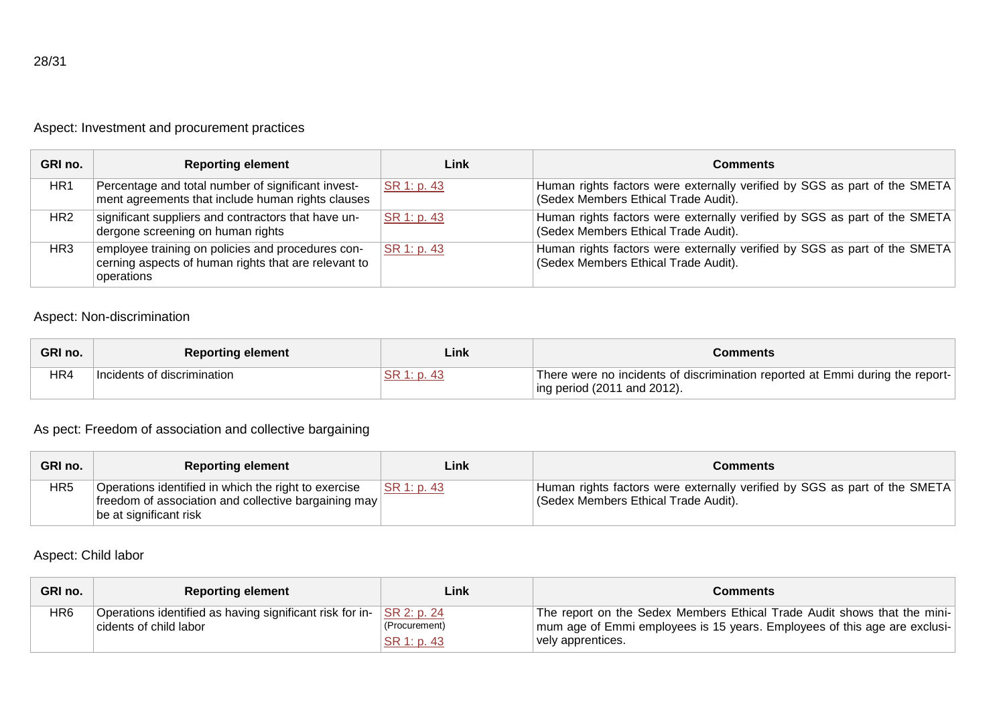## Aspect: Investment and procurement practices

| GRI no. | <b>Reporting element</b>                                                                                                | Link        | Comments                                                                                                          |
|---------|-------------------------------------------------------------------------------------------------------------------------|-------------|-------------------------------------------------------------------------------------------------------------------|
| HR1     | Percentage and total number of significant invest-<br>ment agreements that include human rights clauses                 | SR 1: p. 43 | Human rights factors were externally verified by SGS as part of the SMETA<br>(Sedex Members Ethical Trade Audit). |
| HR2     | significant suppliers and contractors that have un-<br>dergone screening on human rights                                | SR 1: p. 43 | Human rights factors were externally verified by SGS as part of the SMETA<br>(Sedex Members Ethical Trade Audit). |
| HR3     | employee training on policies and procedures con-<br>cerning aspects of human rights that are relevant to<br>operations | SR 1: p. 43 | Human rights factors were externally verified by SGS as part of the SMETA<br>(Sedex Members Ethical Trade Audit). |

#### Aspect: Non-discrimination

| GRI no. | <b>Reporting element</b>    | Link     | Comments                                                                                                             |
|---------|-----------------------------|----------|----------------------------------------------------------------------------------------------------------------------|
| HR4     | Incidents of discrimination | 1: p. 43 | There were no incidents of discrimination reported at Emmi during the report-<br>$\vert$ ing period (2011 and 2012). |

## As pect: Freedom of association and collective bargaining

| GRI no.         | <b>Reporting element</b>                                                                                                               | Link        | Comments                                                                                                         |
|-----------------|----------------------------------------------------------------------------------------------------------------------------------------|-------------|------------------------------------------------------------------------------------------------------------------|
| HR <sub>5</sub> | Operations identified in which the right to exercise<br>freedom of association and collective bargaining may<br>be at significant risk | SR 1: p. 43 | Human rights factors were externally verified by SGS as part of the SMETA<br>Sedex Members Ethical Trade Audit). |

#### Aspect: Child labor

| GRI no. | <b>Reporting element</b>                                                           | Link                                        | Comments                                                                                                                                                                     |
|---------|------------------------------------------------------------------------------------|---------------------------------------------|------------------------------------------------------------------------------------------------------------------------------------------------------------------------------|
| HR6     | Operations identified as having significant risk for in-<br>cidents of child labor | SR 2: p. 24<br>(Procurement)<br>SR 1: p. 43 | The report on the Sedex Members Ethical Trade Audit shows that the mini-<br>  mum age of Emmi employees is 15 years. Employees of this age are exclusi-<br>vely apprentices. |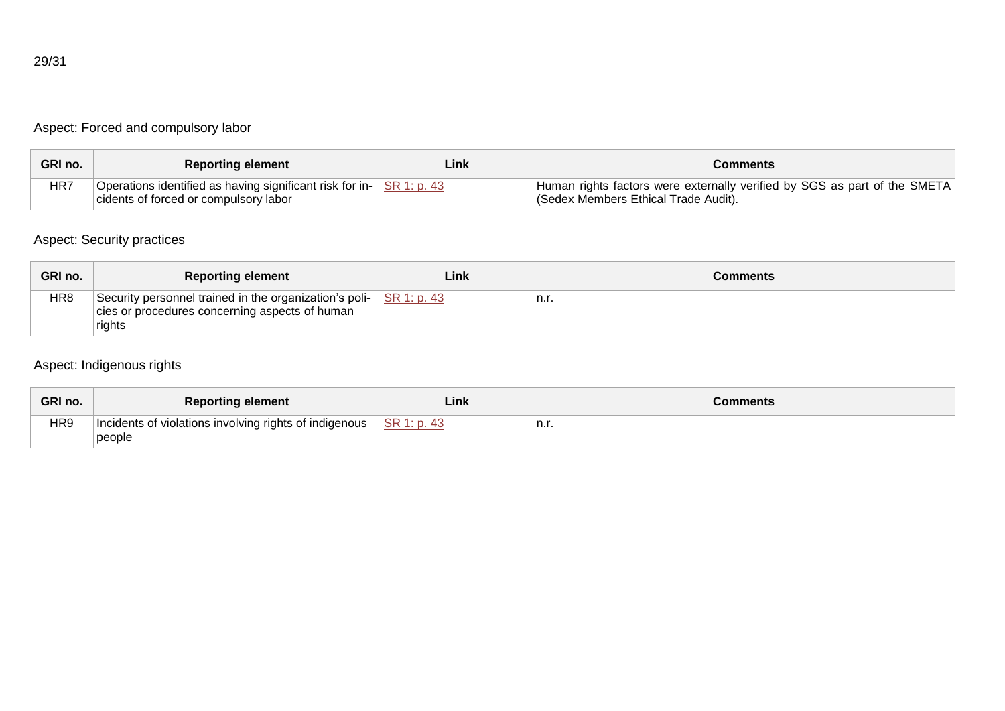## Aspect: Forced and compulsory labor

| GRI no. | <b>Reporting element</b>                                                     | Link | Comments                                                                  |
|---------|------------------------------------------------------------------------------|------|---------------------------------------------------------------------------|
| HR7     | Operations identified as having significant risk for in- $\vert$ SR 1: p. 43 |      | Human rights factors were externally verified by SGS as part of the SMETA |
|         | cidents of forced or compulsory labor                                        |      | (Sedex Members Ethical Trade Audit).                                      |

## Aspect: Security practices

| GRI no. | <b>Reporting element</b>                                                                                           | Link            | Comments |
|---------|--------------------------------------------------------------------------------------------------------------------|-----------------|----------|
| HR8     | Security personnel trained in the organization's poli-<br>cies or procedures concerning aspects of human<br>rights | $ $ SR 1: p. 43 | n.r.     |

## Aspect: Indigenous rights

| GRI no.         | <b>Reporting element</b>                                         | Link        | <b>Comments</b> |
|-----------------|------------------------------------------------------------------|-------------|-----------------|
| HR <sub>9</sub> | Incidents of violations involving rights of indigenous<br>people | SR 1: p. 43 | n.r.            |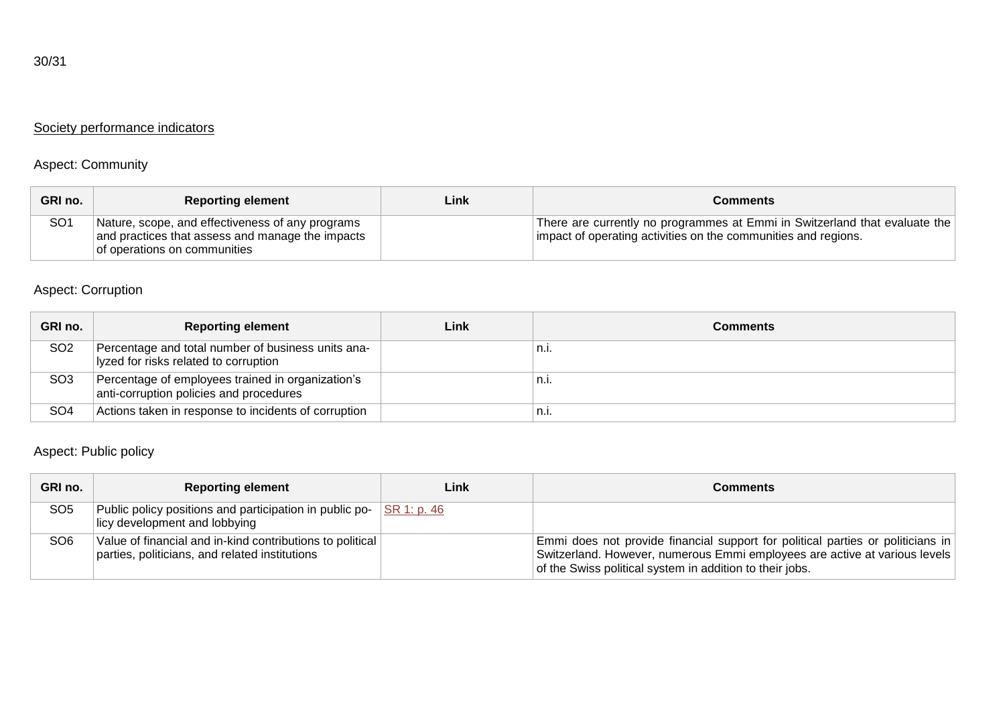# Society performance indicators

## Aspect: Community

| GRI no.         | <b>Reporting element</b>                                                                                                             | Link | Comments                                                                                                                                     |
|-----------------|--------------------------------------------------------------------------------------------------------------------------------------|------|----------------------------------------------------------------------------------------------------------------------------------------------|
| SO <sub>1</sub> | Nature, scope, and effectiveness of any programs<br>and practices that assess and manage the impacts<br>of operations on communities |      | There are currently no programmes at Emmi in Switzerland that evaluate the<br>impact of operating activities on the communities and regions. |

# Aspect: Corruption

| GRI no.         | <b>Reporting element</b>                                                                     | Link | <b>Comments</b> |
|-----------------|----------------------------------------------------------------------------------------------|------|-----------------|
| SO <sub>2</sub> | Percentage and total number of business units ana-<br>lyzed for risks related to corruption  |      | n.i.            |
| SO <sub>3</sub> | Percentage of employees trained in organization's<br>anti-corruption policies and procedures |      | n.I.            |
| SO <sub>4</sub> | Actions taken in response to incidents of corruption                                         |      | 'n.i.           |

## Aspect: Public policy

| GRI no.         | <b>Reporting element</b>                                                                                    | Link        | Comments                                                                                                                                                                                                                  |
|-----------------|-------------------------------------------------------------------------------------------------------------|-------------|---------------------------------------------------------------------------------------------------------------------------------------------------------------------------------------------------------------------------|
| SO <sub>5</sub> | Public policy positions and participation in public po-<br>licy development and lobbying                    | SR 1: p. 46 |                                                                                                                                                                                                                           |
| SO <sub>6</sub> | Value of financial and in-kind contributions to political<br>parties, politicians, and related institutions |             | Emmi does not provide financial support for political parties or politicians in<br>Switzerland. However, numerous Emmi employees are active at various levels<br>of the Swiss political system in addition to their jobs. |